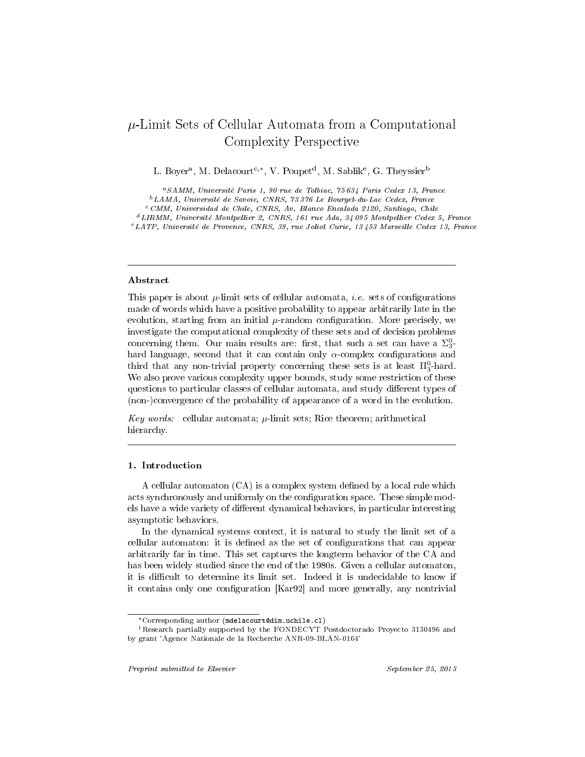# $\mu$ -Limit Sets of Cellular Automata from a Computational Complexity Perspective

L. Boyer<sup>a</sup>, M. Delacourt<sup>c,\*</sup>, V. Poupet<sup>d</sup>, M. Sablik<sup>e</sup>, G. Theyssier<sup>b</sup>

<sup>a</sup>SAMM, Université Paris 1, 90 rue de Tolbiac, 75 634 Paris Cedex 13, France  $^b\,LAMA,$ Université de Savoie, CNRS, 73 376 Le Bourget-du-Lac Cedex, France  $c$ CMM, Universidad de Chile, CNRS, Av. Blanco Encalada 2120, Santiago, Chile <sup>d</sup>LIRMM, Université Montpellier 2, CNRS, 161 rue Ada, 34 095 Montpellier Cedex 5, France <sup>e</sup>LATP, Université de Provence, CNRS, 39, rue Joliot Curie, 13 453 Marseille Cedex 13, France

## Abstract

This paper is about  $\mu$ -limit sets of cellular automata, *i.e.* sets of configurations made of words which have a positive probability to appear arbitrarily late in the evolution, starting from an initial  $\mu$ -random configuration. More precisely, we investigate the computational complexity of these sets and of decision problems concerning them. Our main results are: first, that such a set can have a  $\Sigma_3^0$ hard language, second that it can contain only  $\alpha$ -complex configurations and third that any non-trivial property concerning these sets is at least  $\Pi_3^0$ -hard. We also prove various complexity upper bounds, study some restriction of these questions to particular classes of cellular automata, and study different types of (non-)convergence of the probability of appearance of a word in the evolution.

Key words: cellular automata;  $\mu$ -limit sets; Rice theorem; arithmetical hierarchy.

## 1. Introduction

A cellular automaton  $(CA)$  is a complex system defined by a local rule which acts synchronously and uniformly on the configuration space. These simple models have a wide variety of different dynamical behaviors, in particular interesting asymptotic behaviors.

In the dynamical systems context, it is natural to study the limit set of a cellular automaton: it is defined as the set of configurations that can appear arbitrarily far in time. This set captures the longterm behavior of the CA and has been widely studied since the end of the 1980s. Given a cellular automaton, it is difficult to determine its limit set. Indeed it is undecidable to know if it contains only one configuration [Kar92] and more generally, any nontrivial

<sup>∗</sup>Corresponding author (mdelacourt@dim.uchile.cl)

<sup>1</sup>Research partially supported by the FONDECYT Postdoctorado Proyecto 3130496 and by grant 'Agence Nationale de la Recherche ANR-09-BLAN-0164'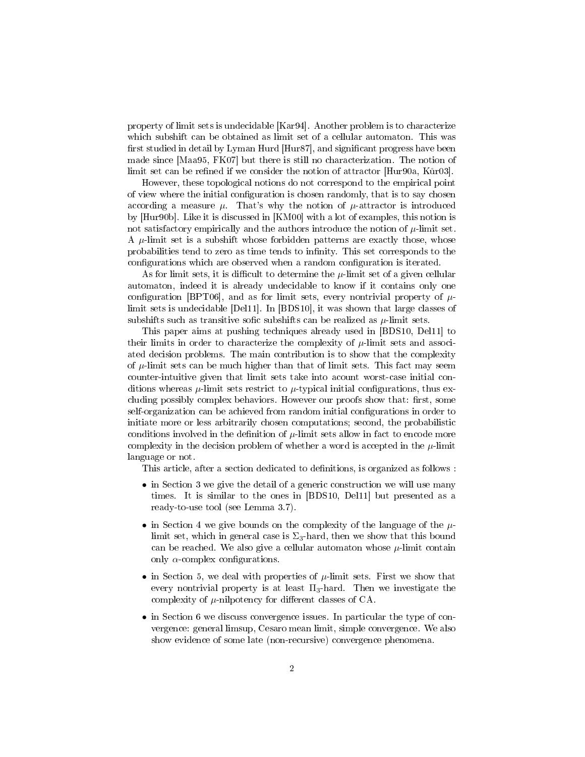property of limit sets is undecidable [Kar94]. Another problem is to characterize which subshift can be obtained as limit set of a cellular automaton. This was first studied in detail by Lyman Hurd [Hur87], and significant progress have been made since [Maa95, FK07] but there is still no characterization. The notion of limit set can be refined if we consider the notion of attractor  $[Hur90a, K\r{u}r03]$ .

However, these topological notions do not correspond to the empirical point of view where the initial configuration is chosen randomly, that is to say chosen according a measure  $\mu$ . That's why the notion of  $\mu$ -attractor is introduced by [Hur90b]. Like it is discussed in [KM00] with a lot of examples, this notion is not satisfactory empirically and the authors introduce the notion of  $\mu$ -limit set. A  $\mu$ -limit set is a subshift whose forbidden patterns are exactly those, whose probabilities tend to zero as time tends to infinity. This set corresponds to the configurations which are observed when a random configuration is iterated.

As for limit sets, it is difficult to determine the  $\mu$ -limit set of a given cellular automaton, indeed it is already undecidable to know if it contains only one configuration [BPT06], and as for limit sets, every nontrivial property of  $\mu$ limit sets is undecidable [Del11]. In [BDS10], it was shown that large classes of subshifts such as transitive sofic subshifts can be realized as  $\mu$ -limit sets.

This paper aims at pushing techniques already used in [BDS10, Del11] to their limits in order to characterize the complexity of  $\mu$ -limit sets and associated decision problems. The main contribution is to show that the complexity of  $\mu$ -limit sets can be much higher than that of limit sets. This fact may seem counter-intuitive given that limit sets take into acount worst-case initial conditions whereas  $\mu$ -limit sets restrict to  $\mu$ -typical initial configurations, thus excluding possibly complex behaviors. However our proofs show that: first, some self-organization can be achieved from random initial configurations in order to initiate more or less arbitrarily chosen computations; second, the probabilistic conditions involved in the definition of  $\mu$ -limit sets allow in fact to encode more complexity in the decision problem of whether a word is accepted in the  $\mu$ -limit language or not.

This article, after a section dedicated to definitions, is organized as follows :

- in Section 3 we give the detail of a generic construction we will use many times. It is similar to the ones in [BDS10, Del11] but presented as a ready-to-use tool (see Lemma 3.7).
- in Section 4 we give bounds on the complexity of the language of the  $\mu$ limit set, which in general case is  $\Sigma_3$ -hard, then we show that this bound can be reached. We also give a cellular automaton whose  $\mu$ -limit contain only  $\alpha$ -complex configurations.
- in Section 5, we deal with properties of  $\mu$ -limit sets. First we show that every nontrivial property is at least  $\Pi_3$ -hard. Then we investigate the complexity of  $\mu$ -nilpotency for different classes of CA.
- in Section 6 we discuss convergence issues. In particular the type of convergence: general limsup, Cesaro mean limit, simple convergence. We also show evidence of some late (non-recursive) convergence phenomena.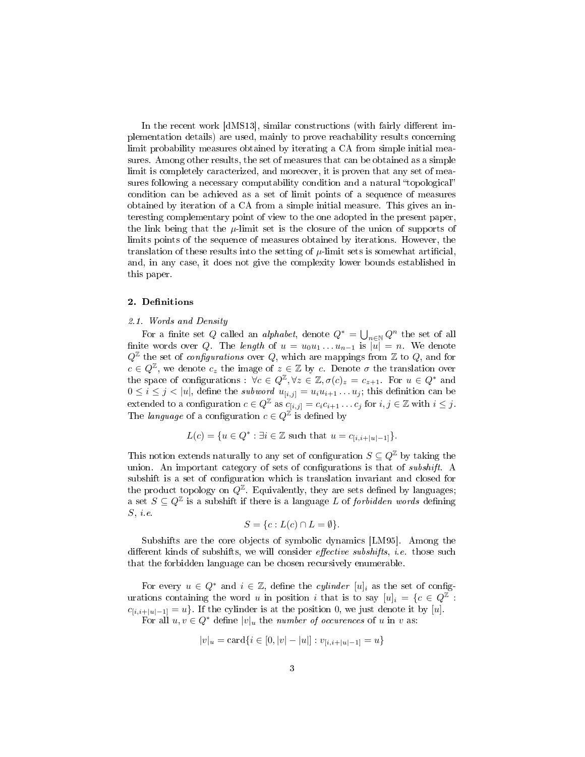In the recent work [dMS13], similar constructions (with fairly different implementation details) are used, mainly to prove reachability results concerning limit probability measures obtained by iterating a CA from simple initial measures. Among other results, the set of measures that can be obtained as a simple limit is completely caracterized, and moreover, it is proven that any set of measures following a necessary computability condition and a natural "topological" condition can be achieved as a set of limit points of a sequence of measures obtained by iteration of a CA from a simple initial measure. This gives an interesting complementary point of view to the one adopted in the present paper, the link being that the  $\mu$ -limit set is the closure of the union of supports of limits points of the sequence of measures obtained by iterations. However, the translation of these results into the setting of  $\mu$ -limit sets is somewhat artificial, and, in any case, it does not give the complexity lower bounds established in this paper.

### 2. Definitions

#### 2.1. Words and Density

For a finite set Q called an *alphabet*, denote  $Q^* = \bigcup_{n \in \mathbb{N}} Q^n$  the set of all finite words over Q. The length of  $u = u_0u_1 \ldots u_{n-1}$  is  $|\bar{u}| = n$ . We denote  $Q^{\mathbb{Z}}$  the set of *configurations* over Q, which are mappings from  $\mathbb{Z}$  to Q, and for  $c \in Q^{\mathbb{Z}}$ , we denote  $c_z$  the image of  $z \in \mathbb{Z}$  by c. Denote  $\sigma$  the translation over the space of configurations :  $\forall c \in Q^{\mathbb{Z}}, \forall z \in \mathbb{Z}, \sigma(c)_z = c_{z+1}$ . For  $u \in Q^*$  and  $0 \leq i \leq j < |u|$ , define the *subword*  $u_{[i,j]} = u_i u_{i+1} \dots u_j$ ; this definition can be extended to a configuration  $c \in Q^{\mathbb{Z}}$  as  $c_{[i,j]} = c_i c_{i+1} \dots c_j$  for  $i, j \in \mathbb{Z}$  with  $i \leq j$ . The *language* of a configuration  $c \in Q^{\mathbb{Z}}$  is defined by

$$
L(c) = \{ u \in Q^* : \exists i \in \mathbb{Z} \text{ such that } u = c_{[i,i+|u|-1]}\}.
$$

This notion extends naturally to any set of configuration  $S \subseteq Q^{\mathbb{Z}}$  by taking the union. An important category of sets of configurations is that of *subshift*. A subshift is a set of configuration which is translation invariant and closed for the product topology on  $Q^{\mathbb{Z}}$ . Equivalently, they are sets defined by languages; a set  $S \subseteq Q^{\mathbb{Z}}$  is a subshift if there is a language L of forbidden words defining  $S, i.e.$ 

$$
S = \{c : L(c) \cap L = \emptyset\}.
$$

Subshifts are the core objects of symbolic dynamics [LM95]. Among the different kinds of subshifts, we will consider *effective subshifts*, *i.e.* those such that the forbidden language can be chosen recursively enumerable.

For every  $u \in Q^*$  and  $i \in \mathbb{Z}$ , define the *cylinder*  $[u]_i$  as the set of configurations containing the word u in position i that is to say  $[u]_i = \{c \in Q^{\mathbb{Z}}:$  $c_{[i,i+|u|-1]} = u$ . If the cylinder is at the position 0, we just denote it by [u].

For all  $u, v \in Q^*$  define  $|v|_u$  the number of occurences of u in v as:

$$
|v|_u = \text{card}\{i \in [0, |v| - |u|] : v_{[i,i+|u|-1]} = u\}
$$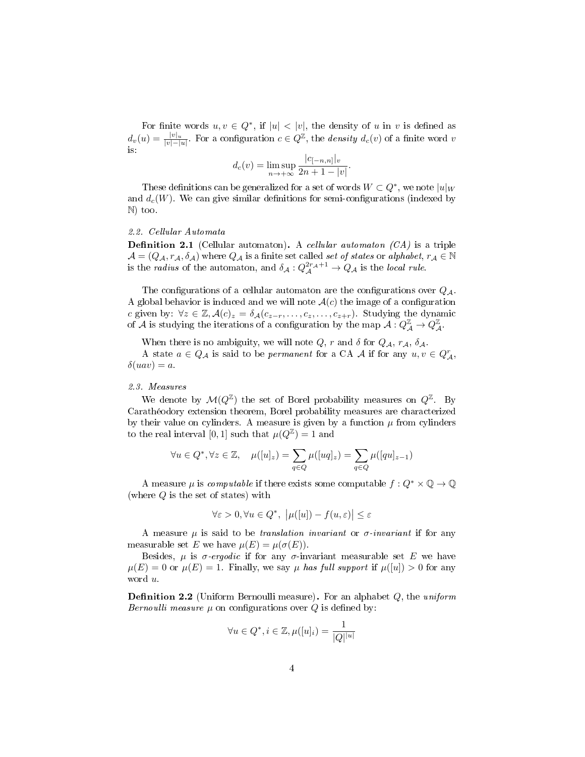For finite words  $u, v \in Q^*$ , if  $|u| < |v|$ , the density of u in v is defined as  $d_v(u) = \frac{|v|_u}{|v| - |u|}$ . For a configuration  $c \in Q^{\mathbb{Z}}$ , the *density*  $d_c(v)$  of a finite word v is:

$$
d_c(v) = \limsup_{n \to +\infty} \frac{|c_{[-n,n]}|_v}{2n+1-|v|}.
$$

These definitions can be generalized for a set of words  $W \subset Q^*$ , we note  $|u|_W$ and  $d_c(W)$ . We can give similar definitions for semi-configurations (indexed by N) too.

## 2.2. Cellular Automata

**Definition 2.1** (Cellular automaton). A cellular automaton  $(CA)$  is a triple  $\mathcal{A} = (Q_{\mathcal{A}}, r_{\mathcal{A}}, \delta_{\mathcal{A}})$  where  $Q_{\mathcal{A}}$  is a finite set called set of states or alphabet,  $r_{\mathcal{A}} \in \mathbb{N}$ is the *radius* of the automaton, and  $\delta_A: Q_A^{2r_A+1} \to Q_A$  is the *local rule*.

The configurations of a cellular automaton are the configurations over  $Q_{\mathcal{A}}$ . A global behavior is induced and we will note  $A(c)$  the image of a configuration c given by:  $\forall z \in \mathbb{Z}, \mathcal{A}(c)_z = \delta_{\mathcal{A}}(c_{z-r}, \ldots, c_z, \ldots, c_{z+r})$ . Studying the dynamic of  $\mathcal A$  is studying the iterations of a configuration by the map  $\mathcal A: Q^{\mathbb Z}_{\mathcal A}\to Q^{\mathbb Z}_{\mathcal A}.$ 

When there is no ambiguity, we will note  $Q$ ,  $r$  and  $\delta$  for  $Q_{\mathcal{A}}$ ,  $r_{\mathcal{A}}$ ,  $\delta_{\mathcal{A}}$ .

A state  $a \in Q_{\mathcal{A}}$  is said to be *permanent* for a CA  $\mathcal{A}$  if for any  $u, v \in Q_{\mathcal{A}}^r$ ,  $\delta(uav) = a$ .

#### 2.3. Measures

We denote by  $\mathcal{M}(Q^{\mathbb{Z}})$  the set of Borel probability measures on  $Q^{\mathbb{Z}}$ . By Carathéodory extension theorem, Borel probability measures are characterized by their value on cylinders. A measure is given by a function  $\mu$  from cylinders to the real interval [0, 1] such that  $\mu(Q^{\mathbb{Z}}) = 1$  and

$$
\forall u \in Q^*, \forall z \in \mathbb{Z}, \quad \mu([u]_z) = \sum_{q \in Q} \mu([uq]_z) = \sum_{q \in Q} \mu([qu]_{z-1})
$$

A measure  $\mu$  is *computable* if there exists some computable  $f: Q^* \times \mathbb{Q} \to \mathbb{Q}$ (where  $Q$  is the set of states) with

$$
\forall \varepsilon > 0, \forall u \in Q^*, \ \big| \mu([u]) - f(u, \varepsilon) \big| \le \varepsilon
$$

A measure  $\mu$  is said to be *translation invariant* or  $\sigma$ -*invariant* if for any measurable set E we have  $\mu(E) = \mu(\sigma(E))$ .

Besides,  $\mu$  is  $\sigma$ -ergodic if for any  $\sigma$ -invariant measurable set E we have  $\mu(E) = 0$  or  $\mu(E) = 1$ . Finally, we say  $\mu$  has full support if  $\mu([u]) > 0$  for any word u.

**Definition 2.2** (Uniform Bernoulli measure). For an alphabet  $Q$ , the uniform Bernoulli measure  $\mu$  on configurations over Q is defined by:

$$
\forall u \in Q^*, i \in \mathbb{Z}, \mu([u]_i) = \frac{1}{|Q|^{|u|}}
$$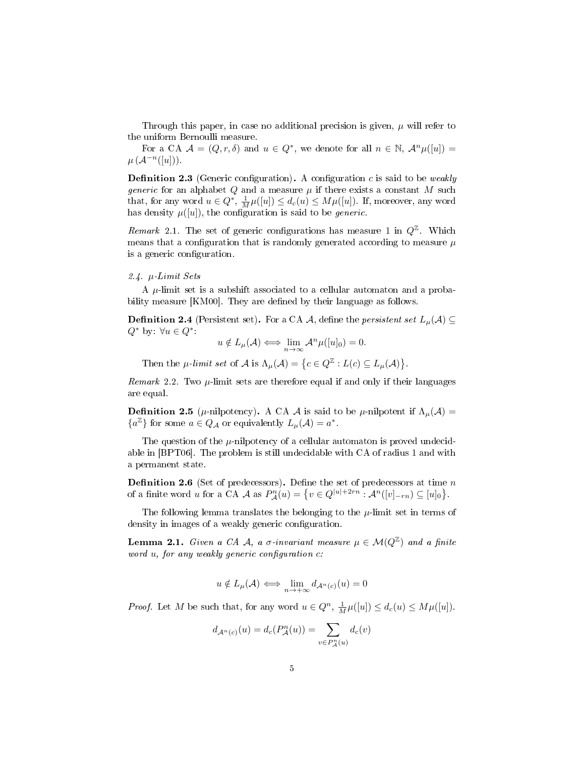Through this paper, in case no additional precision is given,  $\mu$  will refer to the uniform Bernoulli measure.

For a CA  $\mathcal{A} = (Q, r, \delta)$  and  $u \in Q^*$ , we denote for all  $n \in \mathbb{N}$ ,  $\mathcal{A}^n\mu([u]) =$  $\mu(\mathcal{A}^{-n}([u]))$ .

**Definition 2.3** (Generic configuration). A configuration c is said to be weakly *generic* for an alphabet Q and a measure  $\mu$  if there exists a constant M such that, for any word  $u \in Q^*$ ,  $\frac{1}{M}\mu([u]) \leq d_c(u) \leq M\mu([u])$ . If, moreover, any word has density  $\mu([u])$ , the configuration is said to be *generic*.

Remark 2.1. The set of generic configurations has measure 1 in  $Q^{\mathbb{Z}}$ . Which means that a configuration that is randomly generated according to measure  $\mu$ is a generic configuration.

#### 2.4. µ-Limit Sets

A  $\mu$ -limit set is a subshift associated to a cellular automaton and a probability measure [KM00]. They are defined by their language as follows.

**Definition 2.4** (Persistent set). For a CA A, define the *persistent set*  $L_{\mu}(\mathcal{A}) \subseteq$  $Q^*$  by: ∀u ∈  $Q^*$ 

$$
u \notin L_{\mu}(\mathcal{A}) \Longleftrightarrow \lim_{n \to \infty} \mathcal{A}^n \mu([u]_0) = 0.
$$

Then the  $\mu$ -limit set of  $\mathcal A$  is  $\Lambda_\mu(\mathcal A) = \big\{c\in Q^\mathbb Z: L(c)\subseteq L_\mu(\mathcal A)\big\}.$ 

Remark 2.2. Two  $\mu$ -limit sets are therefore equal if and only if their languages are equal.

**Definition 2.5** ( $\mu$ -nilpotency). A CA A is said to be  $\mu$ -nilpotent if  $\Lambda_{\mu}(\mathcal{A}) =$  ${a<sup>\mathbb{Z}}</sup>$  for some  $a \in Q_{\mathcal{A}}$  or equivalently  $L_{\mu}(\mathcal{A}) = a^*$ .

The question of the  $\mu$ -nilpotency of a cellular automaton is proved undecidable in [BPT06]. The problem is still undecidable with CA of radius 1 and with a permanent state.

**Definition 2.6** (Set of predecessors). Define the set of predecessors at time  $n$ of a finite word u for a CA A as  $P_{\mathcal{A}}^n(u) = \{ v \in Q^{|u|+2rn} : \mathcal{A}^n([v]_{-rn}) \subseteq [u]_0 \}.$ 

The following lemma translates the belonging to the  $\mu$ -limit set in terms of density in images of a weakly generic configuration.

**Lemma 2.1.** Given a CA A, a  $\sigma$ -invariant measure  $\mu \in \mathcal{M}(Q^{\mathbb{Z}})$  and a finite word  $u$ , for any weakly generic configuration  $c$ :

$$
u \notin L_{\mu}(\mathcal{A}) \iff \lim_{n \to +\infty} d_{\mathcal{A}^n(c)}(u) = 0
$$

*Proof.* Let M be such that, for any word  $u \in Q^n$ ,  $\frac{1}{M}\mu([u]) \leq d_c(u) \leq M\mu([u])$ .

$$
d_{\mathcal{A}^n(c)}(u)=d_c(P^n_{\mathcal{A}}(u))=\sum_{v\in P^n_{\mathcal{A}}(u)}d_c(v)
$$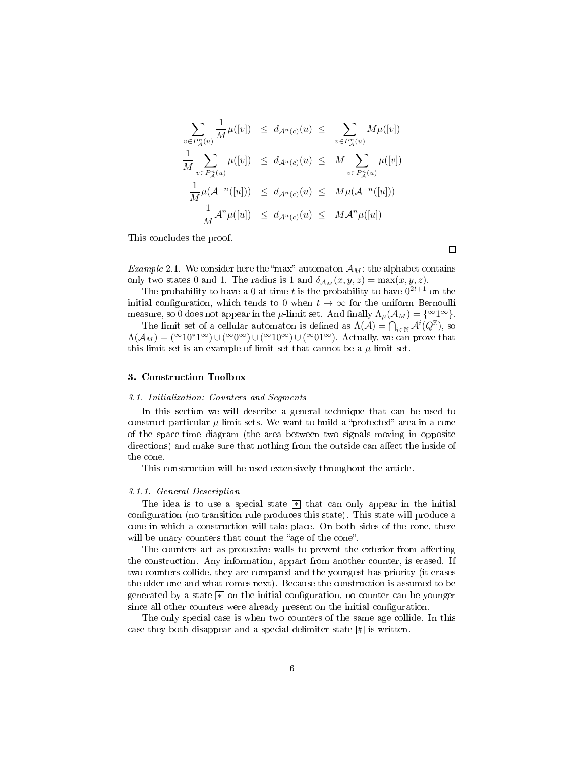$$
\sum_{v \in P_A^n(u)} \frac{1}{M} \mu([v]) \le d_{\mathcal{A}^n(c)}(u) \le \sum_{v \in P_A^n(u)} M \mu([v])
$$
  

$$
\frac{1}{M} \sum_{v \in P_A^n(u)} \mu([v]) \le d_{\mathcal{A}^n(c)}(u) \le M \sum_{v \in P_A^n(u)} \mu([v])
$$
  

$$
\frac{1}{M} \mu(\mathcal{A}^{-n}([u])) \le d_{\mathcal{A}^n(c)}(u) \le M \mu(\mathcal{A}^{-n}([u]))
$$
  

$$
\frac{1}{M} \mathcal{A}^n \mu([u]) \le d_{\mathcal{A}^n(c)}(u) \le M \mathcal{A}^n \mu([u])
$$

This concludes the proof.

 $\Box$ 

*Example* 2.1. We consider here the "max" automaton  $\mathcal{A}_M$ : the alphabet contains only two states 0 and 1. The radius is 1 and  $\delta_{A_M}(x, y, z) = \max(x, y, z)$ .

The probability to have a 0 at time t is the probability to have  $0^{2t+1}$  on the initial configuration, which tends to 0 when  $t \to \infty$  for the uniform Bernoulli measure, so 0 does not appear in the  $\mu$ -limit set. And finally  $\Lambda_{\mu}(\mathcal{A}_M) = {\infty \}$ .

The limit set of a cellular automaton is defined as  $\Lambda(\mathcal{A}) = \bigcap_{i \in \mathbb{N}} \mathcal{A}^i(Q^{\mathbb{Z}})$ , so  $\Lambda(A_M) = (\infty 10^*1^{\infty}) \cup (\infty 0^{\infty}) \cup (\infty 10^{\infty}) \cup (\infty 01^{\infty})$ . Actually, we can prove that this limit-set is an example of limit-set that cannot be a  $\mu$ -limit set.

#### 3. Construction Toolbox

#### 3.1. Initialization: Counters and Segments

In this section we will describe a general technique that can be used to construct particular  $\mu$ -limit sets. We want to build a "protected" area in a cone of the space-time diagram (the area between two signals moving in opposite directions) and make sure that nothing from the outside can affect the inside of the cone.

This construction will be used extensively throughout the article.

#### 3.1.1. General Description

The idea is to use a special state  $*$  that can only appear in the initial configuration (no transition rule produces this state). This state will produce a cone in which a construction will take place. On both sides of the cone, there will be unary counters that count the "age of the cone".

The counters act as protective walls to prevent the exterior from affecting the construction. Any information, appart from another counter, is erased. If two counters collide, they are compared and the youngest has priority (it erases the older one and what comes next). Because the construction is assumed to be generated by a state  $\mathbb K$  on the initial configuration, no counter can be younger since all other counters were already present on the initial configuration.

The only special case is when two counters of the same age collide. In this case they both disappear and a special delimiter state  $\boxed{\text{\#}}$  is written.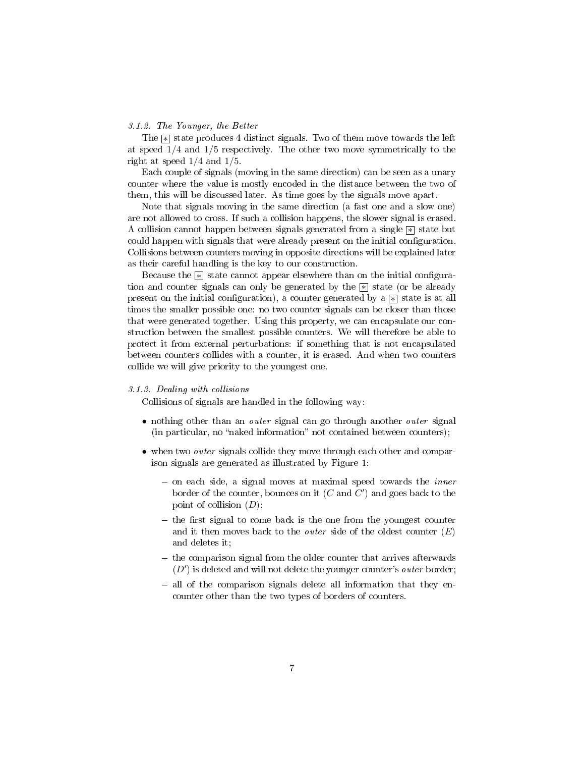### 3.1.2. The Younger, the Better

The  $\geq$  state produces 4 distinct signals. Two of them move towards the left at speed 1/4 and 1/5 respectively. The other two move symmetrically to the right at speed 1/4 and 1/5.

Each couple of signals (moving in the same direction) can be seen as a unary counter where the value is mostly encoded in the distance between the two of them, this will be discussed later. As time goes by the signals move apart.

Note that signals moving in the same direction (a fast one and a slow one) are not allowed to cross. If such a collision happens, the slower signal is erased. A collision cannot happen between signals generated from a single  $\boxed{\ast}$  state but could happen with signals that were already present on the initial configuration. Collisions between counters moving in opposite directions will be explained later as their careful handling is the key to our construction.

Because the  $\boxed{\ast}$  state cannot appear elsewhere than on the initial configuration and counter signals can only be generated by the  $\lbrack * \rbrack$  state (or be already present on the initial configuration), a counter generated by a  $\mathbb{R}$  state is at all times the smaller possible one: no two counter signals can be closer than those that were generated together. Using this property, we can encapsulate our construction between the smallest possible counters. We will therefore be able to protect it from external perturbations: if something that is not encapsulated between counters collides with a counter, it is erased. And when two counters collide we will give priority to the youngest one.

### 3.1.3. Dealing with collisions

Collisions of signals are handled in the following way:

- nothing other than an *outer* signal can go through another *outer* signal  $(in$  particular, no "naked information" not contained between counters);
- when two *outer* signals collide they move through each other and comparison signals are generated as illustrated by Figure 1:
	- $-$  on each side, a signal moves at maximal speed towards the *inner* border of the counter, bounces on it  $(C \text{ and } C')$  and goes back to the point of collision  $(D)$ ;
	- $-$  the first signal to come back is the one from the youngest counter and it then moves back to the *outer* side of the oldest counter  $(E)$ and deletes it;
	- $\overline{\phantom{a}}$  the comparison signal from the older counter that arrives afterwards  $(D')$  is deleted and will not delete the younger counter's outer border;
	- all of the comparison signals delete all information that they encounter other than the two types of borders of counters.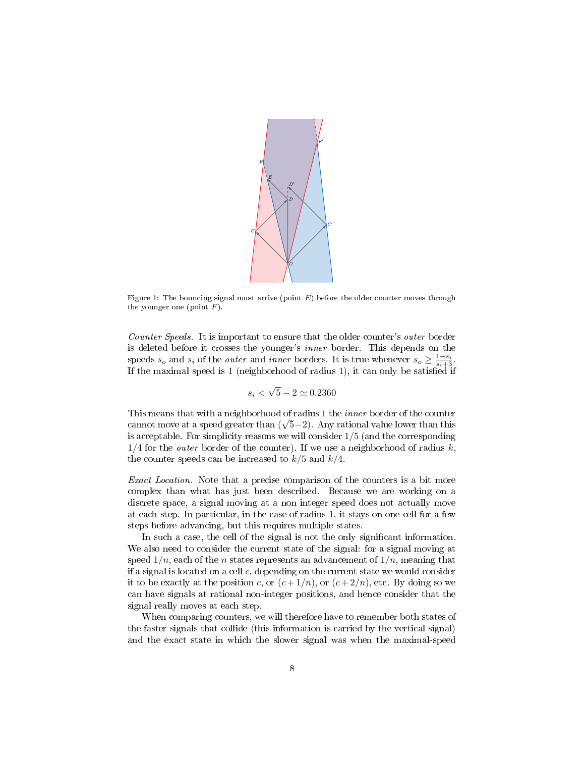

Figure 1: The bouncing signal must arrive (point  $E$ ) before the older counter moves through the younger one (point  $F$ ).

Counter Speeds. It is important to ensure that the older counter's outer border is deleted before it crosses the younger's inner border. This depends on the speeds  $s_o$  and  $s_i$  of the *outer* and *inner* borders. It is true whenever  $s_o \geq \frac{1-s_i}{s_i+3}$ . If the maximal speed is 1 (neighborhood of radius 1), it can only be satised if

$$
s_i < \sqrt{5} - 2 \simeq 0.2360
$$

This means that with a neighborhood of radius 1 the *inner* border of the counter cannot move at a speed greater than  $(\sqrt{5}-2)$ . Any rational value lower than this is acceptable. For simplicity reasons we will consider 1/5 (and the corresponding  $1/4$  for the *outer* border of the counter). If we use a neighborhood of radius k, the counter speeds can be increased to  $k/5$  and  $k/4$ .

Exact Location. Note that a precise comparison of the counters is a bit more complex than what has just been described. Because we are working on a discrete space, a signal moving at a non integer speed does not actually move at each step. In particular, in the case of radius 1, it stays on one cell for a few steps before advancing, but this requires multiple states.

In such a case, the cell of the signal is not the only signicant information. We also need to consider the current state of the signal: for a signal moving at speed  $1/n$ , each of the *n* states represents an advancement of  $1/n$ , meaning that if a signal is located on a cell  $c$ , depending on the current state we would consider it to be exactly at the position c, or  $(c+1/n)$ , or  $(c+2/n)$ , etc. By doing so we can have signals at rational non-integer positions, and hence consider that the signal really moves at each step.

When comparing counters, we will therefore have to remember both states of the faster signals that collide (this information is carried by the vertical signal) and the exact state in which the slower signal was when the maximal-speed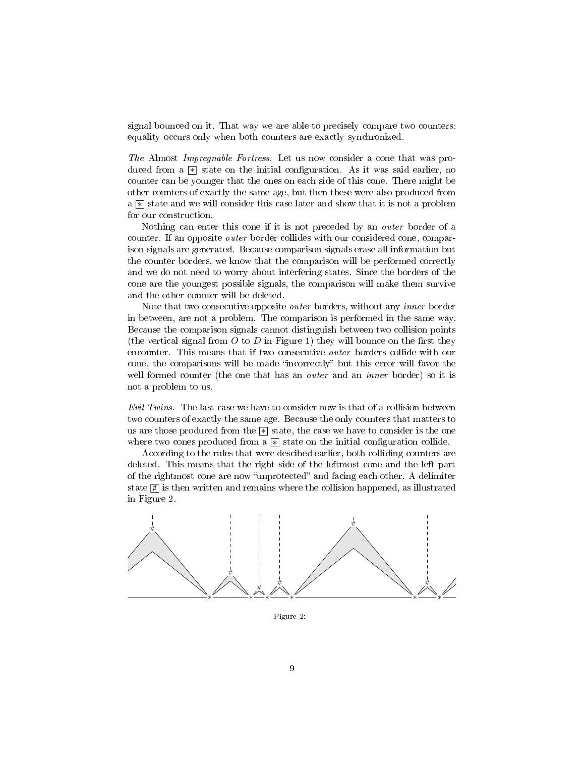signal bounced on it. That way we are able to precisely compare two counters: equality occurs only when both counters are exactly synchronized.

The Almost Impregnable Fortress. Let us now consider a cone that was produced from a  $\mathbb{R}$  state on the initial configuration. As it was said earlier, no counter can be younger that the ones on each side of this cone. There might be other counters of exactly the same age, but then these were also produced from a  $\mathbb{R}$  state and we will consider this case later and show that it is not a problem for our construction.

Nothing can enter this cone if it is not preceded by an outer border of a counter. If an opposite outer border collides with our considered cone, comparison signals are generated. Because comparison signals erase all information but the counter borders, we know that the comparison will be performed correctly and we do not need to worry about interfering states. Since the borders of the cone are the youngest possible signals, the comparison will make them survive and the other counter will be deleted.

Note that two consecutive opposite outer borders, without any inner border in between, are not a problem. The comparison is performed in the same way. Because the comparison signals cannot distinguish between two collision points (the vertical signal from  $O$  to  $D$  in Figure 1) they will bounce on the first they encounter. This means that if two consecutive outer borders collide with our cone, the comparisons will be made "incorrectly" but this error will favor the well formed counter (the one that has an *outer* and an *inner* border) so it is not a problem to us.

Evil Twins. The last case we have to consider now is that of a collision between two counters of exactly the same age. Because the only counters that matters to us are those produced from the  $*$  state, the case we have to consider is the one where two cones produced from a  $*$  state on the initial configuration collide.

According to the rules that were descibed earlier, both colliding counters are deleted. This means that the right side of the leftmost cone and the left part of the rightmost cone are now "unprotected" and facing each other. A delimiter state # is then written and remains where the collision happened, as illustrated in Figure 2.



Figure 2: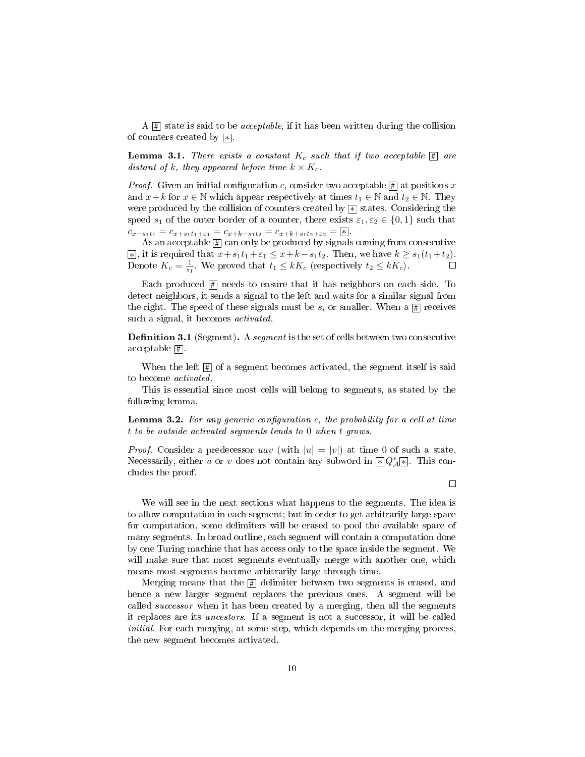A  $\left| \frac{\pi}{2} \right|$  state is said to be *acceptable*, if it has been written during the collision of counters created by  $*$ .

**Lemma 3.1.** There exists a constant  $K_c$  such that if two acceptable  $\boxed{\text{\#}}$  are distant of k, they appeared before time  $k \times K_c$ .

*Proof.* Given an initial configuration c, consider two acceptable  $\#$  at positions x and  $x+k$  for  $x \in \mathbb{N}$  which appear respectively at times  $t_1 \in \mathbb{N}$  and  $t_2 \in \mathbb{N}$ . They were produced by the collision of counters created by  $\lvert\mathbb{F}\rvert$  states. Considering the speed  $s_1$  of the outer border of a counter, there exists  $\varepsilon_1, \varepsilon_2 \in \{0, 1\}$  such that  $c_{x-s_1t_1} = c_{x+s_1t_1+\varepsilon_1} = c_{x+k-s_1t_2} = c_{x+k+s_1t_2+\varepsilon_2} = |*|.$ 

As an acceptable  $\boxed{\text{\#}}$  can only be produced by signals coming from consecutive  $\overline{*}$ , it is required that  $x + s_1t_1 + \varepsilon_1 \leq x + k - s_1t_2$ . Then, we have  $k \geq s_1(t_1 + t_2)$ . Denote  $K_c = \frac{1}{s_1}$ . We proved that  $t_1 \leq kK_c$  (respectively  $t_2 \leq kK_c$ ).

Each produced # needs to ensure that it has neighbors on each side. To detect neighbors, it sends a signal to the left and waits for a similar signal from the right. The speed of these signals must be  $s_i$  or smaller. When a  $\boxed{\text{\#}}$  receives such a signal, it becomes *activated*.

**Definition 3.1** (Segment). A segment is the set of cells between two consecutive  $acceptable \boxed{\#}.$ 

When the left  $\boxed{\#}$  of a segment becomes activated, the segment itself is said to become activated.

This is essential since most cells will belong to segments, as stated by the following lemma.

**Lemma 3.2.** For any generic configuration c, the probability for a cell at time t to be outside activated segments tends to 0 when t grows.

*Proof.* Consider a predecessor uav (with  $|u| = |v|$ ) at time 0 of such a state. Necessarily, either u or v does not contain any subword in  $\mathbb{E}[Q^*_{\mathcal{A}}]$ . This concludes the proof.

 $\Box$ 

We will see in the next sections what happens to the segments. The idea is to allow computation in each segment; but in order to get arbitrarily large space for computation, some delimiters will be erased to pool the available space of many segments. In broad outline, each segment will contain a computation done by one Turing machine that has access only to the space inside the segment. We will make sure that most segments eventually merge with another one, which means most segments become arbitrarily large through time.

Merging means that the # delimiter between two segments is erased, and hence a new larger segment replaces the previous ones. A segment will be called successor when it has been created by a merging, then all the segments it replaces are its ancestors. If a segment is not a successor, it will be called initial. For each merging, at some step, which depends on the merging process, the new segment becomes activated.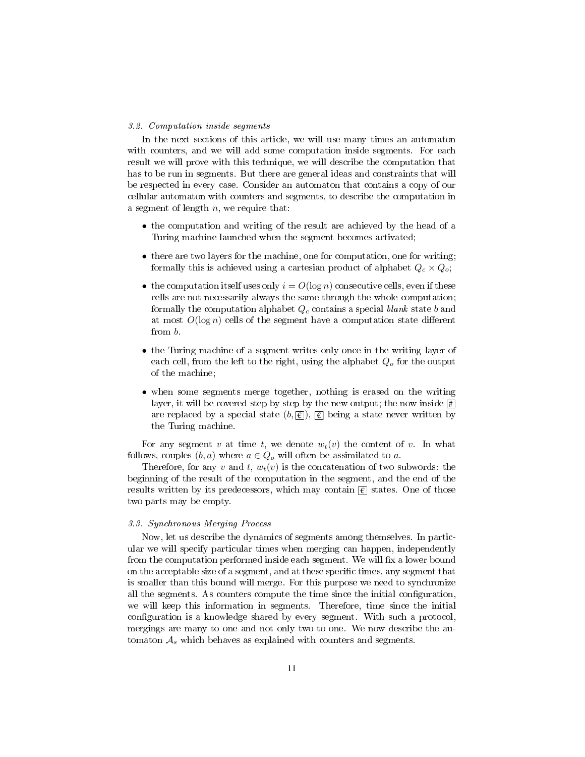#### 3.2. Computation inside segments

In the next sections of this article, we will use many times an automaton with counters, and we will add some computation inside segments. For each result we will prove with this technique, we will describe the computation that has to be run in segments. But there are general ideas and constraints that will be respected in every case. Consider an automaton that contains a copy of our cellular automaton with counters and segments, to describe the computation in a segment of length  $n$ , we require that:

- the computation and writing of the result are achieved by the head of a Turing machine launched when the segment becomes activated;
- there are two layers for the machine, one for computation, one for writing; formally this is achieved using a cartesian product of alphabet  $Q_c \times Q_o$ ;
- the computation itself uses only  $i = O(\log n)$  consecutive cells, even if these cells are not necessarily always the same through the whole computation; formally the computation alphabet  $Q_c$  contains a special blank state b and at most  $O(\log n)$  cells of the segment have a computation state different from b.
- the Turing machine of a segment writes only once in the writing layer of each cell, from the left to the right, using the alphabet  $Q<sub>o</sub>$  for the output of the machine;
- when some segments merge together, nothing is erased on the writing layer, it will be covered step by step by the new output; the now inside  $\overline{\sharp}$ are replaced by a special state  $(b, \textcolor{red}{\overline{\epsilon}}), \textcolor{red}{\overline{\epsilon}}$  being a state never written by the Turing machine.

For any segment v at time t, we denote  $w_t(v)$  the content of v. In what follows, couples  $(b, a)$  where  $a \in Q_o$  will often be assimilated to a.

Therefore, for any v and t,  $w_t(v)$  is the concatenation of two subwords: the beginning of the result of the computation in the segment, and the end of the results written by its predecessors, which may contain  $\epsilon$  states. One of those two parts may be empty.

#### 3.3. Synchronous Merging Process

Now, let us describe the dynamics of segments among themselves. In particular we will specify particular times when merging can happen, independently from the computation performed inside each segment. We will fix a lower bound on the acceptable size of a segment, and at these specific times, any segment that is smaller than this bound will merge. For this purpose we need to synchronize all the segments. As counters compute the time since the initial configuration, we will keep this information in segments. Therefore, time since the initial configuration is a knowledge shared by every segment. With such a protocol, mergings are many to one and not only two to one. We now describe the automaton  $A<sub>s</sub>$  which behaves as explained with counters and segments.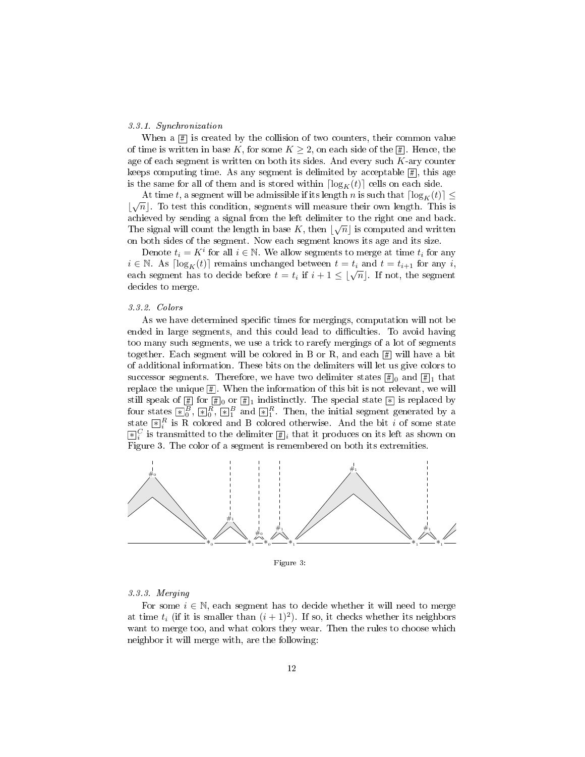#### 3.3.1. Synchronization

When a  $\boxed{\text{#}}$  is created by the collision of two counters, their common value of time is written in base K, for some  $K \geq 2$ , on each side of the  $\boxed{\text{#}}$ . Hence, the age of each segment is written on both its sides. And every such  $K$ -ary counter keeps computing time. As any segment is delimited by acceptable  $\boxed{\text{\#}}$ , this age is the same for all of them and is stored within  $\lceil \log_K(t) \rceil$  cells on each side.

At time t, a segment will be admissible if its length n is such that  $\lceil \log_K(t) \rceil \le$  $\lfloor \sqrt{n} \rfloor$ . To test this condition, segments will measure their own length. This is achieved by sending a signal from the left delimiter to the right one and back. The signal will count the length in base K, then  $\lfloor \sqrt{n} \rfloor$  is computed and written on both sides of the segment. Now each segment knows its age and its size.

Denote  $t_i = K^i$  for all  $i \in \mathbb{N}$ . We allow segments to merge at time  $t_i$  for any  $i \in \mathbb{N}$ . As  $\lceil \log_K(t) \rceil$  remains unchanged between  $t = t_i$  and  $t = t_{i+1}$  for any i, each segment has to decide before  $t = t_i$  if  $i + 1 \leq \lfloor \sqrt{n} \rfloor$ . If not, the segment decides to merge.

#### 3.3.2. Colors

As we have determined specific times for mergings, computation will not be ended in large segments, and this could lead to difficulties. To avoid having too many such segments, we use a trick to rarefy mergings of a lot of segments together. Each segment will be colored in B or R, and each  $\boxed{\text{\#}}$  will have a bit of additional information. These bits on the delimiters will let us give colors to successor segments. Therefore, we have two delimiter states  $\boxed{\#}_0$  and  $\boxed{\#}_1$  that replace the unique  $[\![\frac{n}{2}]\!]$ . When the information of this bit is not relevant, we will still speak of  $\frac{\pi}{2}$  for  $\frac{\pi}{2}$  or  $\frac{\pi}{2}$  indistinctly. The special state  $\frac{\pi}{2}$  is replaced by four states  $\{ \mathbf{x} \}_{0}^{B}$ ,  $\{ \mathbf{x} \}_{0}^{R}$ ,  $\{ \mathbf{x} \}_{1}^{B}$  and  $\{ \mathbf{x} \}_{1}^{R}$ . Then, the initial segment generated by a state  $\mathbb{R}^R_i$  is R colored and B colored otherwise. And the bit i of some state  $\mathbb{E}[S_i]$  is transmitted to the delimiter  $\mathbb{E}[i]$  that it produces on its left as shown on Figure 3. The color of a segment is remembered on both its extremities.



Figure 3:

### 3.3.3. Merging

For some  $i \in \mathbb{N}$ , each segment has to decide whether it will need to merge at time  $t_i$  (if it is smaller than  $(i + 1)^2$ ). If so, it checks whether its neighbors want to merge too, and what colors they wear. Then the rules to choose which neighbor it will merge with, are the following: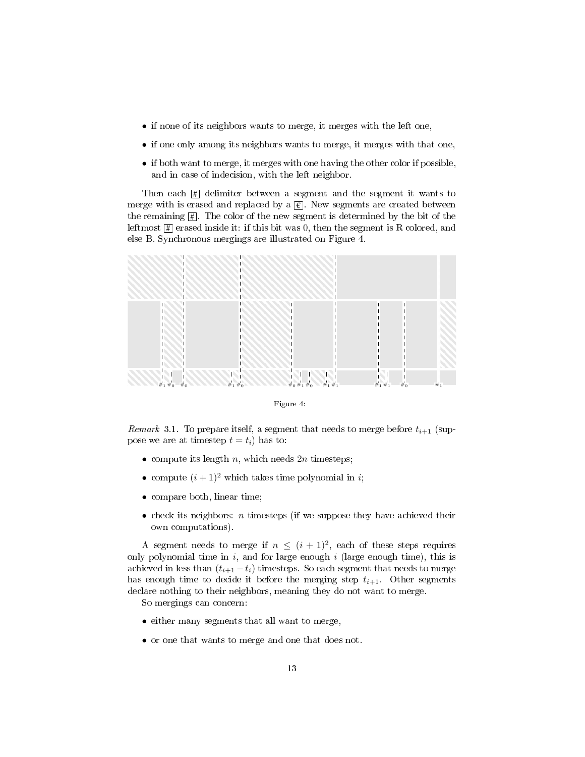- if none of its neighbors wants to merge, it merges with the left one,
- if one only among its neighbors wants to merge, it merges with that one,
- if both want to merge, it merges with one having the other color if possible, and in case of indecision, with the left neighbor.

Then each  $\boxed{\text{\#}}$  delimiter between a segment and the segment it wants to merge with is erased and replaced by a  $\epsilon$ . New segments are created between the remaining  $\boxed{\text{\#}}$  . The color of the new segment is determined by the bit of the leftmost  $\boxed{\text{\#}}$  erased inside it: if this bit was 0, then the segment is R colored, and else B. Synchronous mergings are illustrated on Figure 4.



Figure 4:

*Remark* 3.1. To prepare itself, a segment that needs to merge before  $t_{i+1}$  (suppose we are at timestep  $t = t_i$ ) has to:

- compute its length  $n$ , which needs  $2n$  timesteps;
- compute  $(i + 1)^2$  which takes time polynomial in *i*;
- compare both, linear time;
- $\bullet$  check its neighbors: *n* timesteps (if we suppose they have achieved their own computations).

A segment needs to merge if  $n \leq (i + 1)^2$ , each of these steps requires only polynomial time in  $i$ , and for large enough  $i$  (large enough time), this is achieved in less than  $(t_{i+1} - t_i)$  timesteps. So each segment that needs to merge has enough time to decide it before the merging step  $t_{i+1}$ . Other segments declare nothing to their neighbors, meaning they do not want to merge.

So mergings can concern:

- either many segments that all want to merge,
- or one that wants to merge and one that does not.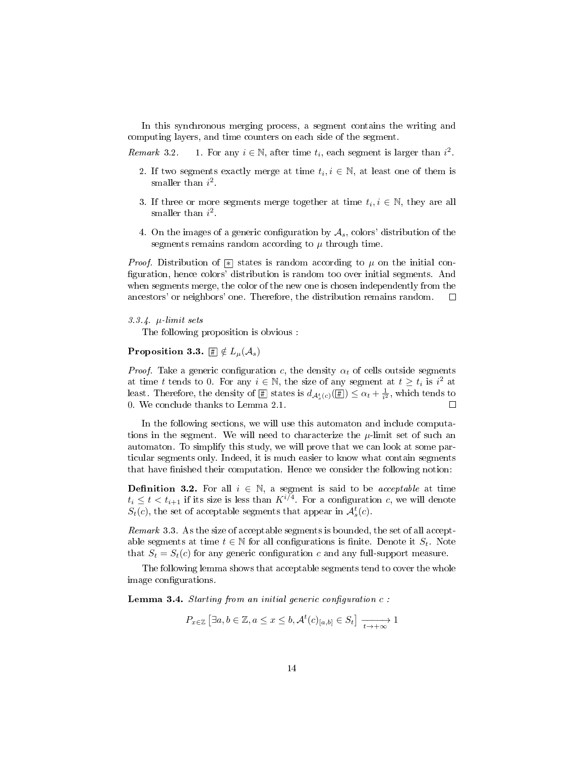In this synchronous merging process, a segment contains the writing and computing layers, and time counters on each side of the segment.

Remark 3.2. 1. For any  $i \in \mathbb{N}$ , after time  $t_i$ , each segment is larger than  $i^2$ .

- 2. If two segments exactly merge at time  $t_i, i \in \mathbb{N}$ , at least one of them is smaller than  $i^2$ .
- 3. If three or more segments merge together at time  $t_i, i \in \mathbb{N}$ , they are all smaller than  $i^2$ .
- 4. On the images of a generic configuration by  $A_s$ , colors' distribution of the segments remains random according to  $\mu$  through time.

*Proof.* Distribution of  $\mathbb{R}$  states is random according to  $\mu$  on the initial configuration, hence colors' distribution is random too over initial segments. And when segments merge, the color of the new one is chosen independently from the ancestors' or neighbors' one. Therefore, the distribution remains random.  $\Box$ 

#### 3.3.4.  $\mu$ -limit sets

The following proposition is obvious :

## Proposition 3.3.  $\mathbb{H} \notin L_{\mu}(\mathcal{A}_s)$

*Proof.* Take a generic configuration c, the density  $\alpha_t$  of cells outside segments at time t tends to 0. For any  $i \in \mathbb{N}$ , the size of any segment at  $t \ge t_i$  is  $i^2$  at least. Therefore, the density of  $[\frac{\pi}{2}]$  states is  $d_{\mathcal{A}_{s}^{t}(c)}([\frac{\pi}{2}]) \leq \alpha_{t} + \frac{1}{i^{2}},$  which tends to 0. We conclude thanks to Lemma 2.1.  $\Box$ 

In the following sections, we will use this automaton and include computations in the segment. We will need to characterize the  $\mu$ -limit set of such an automaton. To simplify this study, we will prove that we can look at some particular segments only. Indeed, it is much easier to know what contain segments that have finished their computation. Hence we consider the following notion:

**Definition 3.2.** For all  $i \in \mathbb{N}$ , a segment is said to be *acceptable* at time  $t_i \leq t < t_{i+1}$  if its size is less than  $K^{i/4}$ . For a configuration c, we will denote  $S_t(c)$ , the set of acceptable segments that appear in  $\mathcal{A}_s^t(c)$ .

Remark 3.3. As the size of acceptable segments is bounded, the set of all acceptable segments at time  $t \in \mathbb{N}$  for all configurations is finite. Denote it  $S_t$ . Note that  $S_t = S_t(c)$  for any generic configuration c and any full-support measure.

The following lemma shows that acceptable segments tend to cover the whole image configurations.

**Lemma 3.4.** Starting from an initial generic configuration  $c$ :

 $P_{x\in\mathbb{Z}}\left[\exists a,b\in\mathbb{Z},a\leq x\leq b,\mathcal{A}^{t}(c)_{[a,b]}\in S_{t}\right]\xrightarrow[t\rightarrow+\infty]{}1$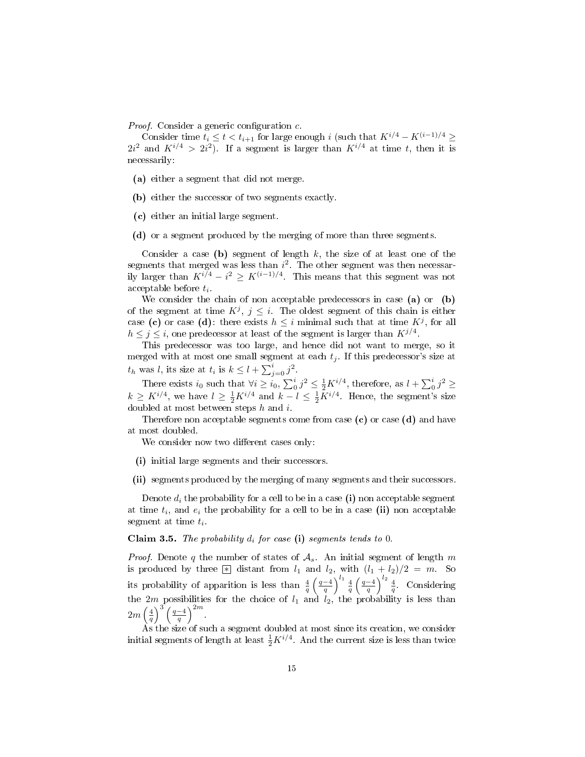*Proof.* Consider a generic configuration  $c$ .

Consider time  $t_i \le t < t_{i+1}$  for large enough i (such that  $K^{i/4} - K^{(i-1)/4} \ge$  $2i^2$  and  $K^{i/4} > 2i^2$ ). If a segment is larger than  $K^{i/4}$  at time t, then it is necessarily:

- (a) either a segment that did not merge.
- (b) either the successor of two segments exactly.
- (c) either an initial large segment.
- (d) or a segment produced by the merging of more than three segments.

Consider a case (b) segment of length  $k$ , the size of at least one of the segments that merged was less than  $i^2$ . The other segment was then necessarily larger than  $K^{i/4} - i^2 \ge K^{(i-1)/4}$ . This means that this segment was not  $acceptable \ before \ t_i.$ 

We consider the chain of non acceptable predecessors in case (a) or (b) of the segment at time  $K^j$ ,  $j \leq i$ . The oldest segment of this chain is either case (c) or case (d): there exists  $h \leq i$  minimal such that at time  $K^j$ , for all  $h \leq j \leq i$ , one predecessor at least of the segment is larger than  $K^{j/4}$ .

This predecessor was too large, and hence did not want to merge, so it merged with at most one small segment at each  $t_j$ . If this predecessor's size at  $t_h$  was l, its size at  $t_i$  is  $k \leq l + \sum_{j=0}^i j^2$ .

There exists  $i_0$  such that  $\forall i \geq i_0$ ,  $\sum_0^i j^2 \leq \frac{1}{2} K^{i/4}$ , therefore, as  $l + \sum_0^i j^2 \geq$  $k \geq K^{i/4}$ , we have  $l \geq \frac{1}{2}K^{i/4}$  and  $k-l \leq \frac{1}{2}K^{i/4}$ . Hence, the segment's size doubled at most between steps h and i.

Therefore non acceptable segments come from case  $(c)$  or case  $(d)$  and have at most doubled.

We consider now two different cases only:

- (i) initial large segments and their successors.
- (ii) segments produced by the merging of many segments and their successors.

Denote  $d_i$  the probability for a cell to be in a case (i) non acceptable segment at time  $t_i$ , and  $e_i$  the probability for a cell to be in a case (ii) non acceptable segment at time  $t_i$ .

Claim 3.5. The probability  $d_i$  for case (i) segments tends to 0.

*Proof.* Denote q the number of states of  $A_s$ . An initial segment of length m is produced by three  $\boxed{\ast}$  distant from  $l_1$  and  $l_2$ , with  $(l_1 + l_2)/2 = m$ . So its probability of apparition is less than  $\frac{4}{q}\left(\frac{q-4}{q}\right)^{l_1}\frac{4}{q}\left(\frac{q-4}{q}\right)^{l_2}\frac{4}{q}$ . Considering the  $2m$  possibilities for the choice of  $l_1$  and  $l_2$ , the probability is less than  $2m\left(\frac{4}{q}\right)^3\left(\frac{q-4}{q}\right)^{2m}.$ 

As the size of such a segment doubled at most since its creation, we consider initial segments of length at least  $\frac{1}{2}K^{i/4}$ . And the current size is less than twice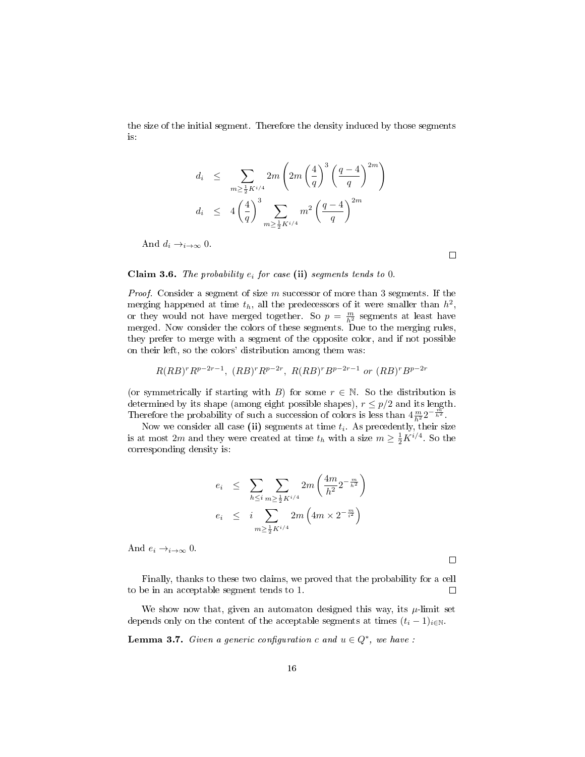the size of the initial segment. Therefore the density induced by those segments is:

$$
d_i \leq \sum_{m \geq \frac{1}{2}K^{i/4}} 2m \left(2m \left(\frac{4}{q}\right)^3 \left(\frac{q-4}{q}\right)^{2m}\right)
$$
  

$$
d_i \leq 4 \left(\frac{4}{q}\right)^3 \sum_{m \geq \frac{1}{2}K^{i/4}} m^2 \left(\frac{q-4}{q}\right)^{2m}
$$

And  $d_i \rightarrow i \rightarrow \infty$  0.

 $\Box$ 

## Claim 3.6. The probability  $e_i$  for case (ii) segments tends to 0.

*Proof.* Consider a segment of size  $m$  successor of more than 3 segments. If the merging happened at time  $t_h$ , all the predecessors of it were smaller than  $h^2$ , or they would not have merged together. So  $p = \frac{m}{h^2}$  segments at least have merged. Now consider the colors of these segments. Due to the merging rules, they prefer to merge with a segment of the opposite color, and if not possible on their left, so the colors' distribution among them was:

$$
R(RB)^r R^{p-2r-1}
$$
,  $(RB)^r R^{p-2r}$ ,  $R(RB)^r B^{p-2r-1}$  or  $(RB)^r B^{p-2r}$ 

(or symmetrically if starting with B) for some  $r \in \mathbb{N}$ . So the distribution is determined by its shape (among eight possible shapes),  $r \leq p/2$  and its length. Therefore the probability of such a succession of colors is less than  $4\frac{m}{h^2}2^{-\frac{m^2}{h^2}}$ .

Now we consider all case (ii) segments at time  $t_i$ . As precedently, their size is at most 2m and they were created at time  $t_h$  with a size  $m \geq \frac{1}{2}K^{i/4}$ . So the corresponding density is:

$$
e_i \leq \sum_{h \leq i} \sum_{m \geq \frac{1}{2} K^{i/4}} 2m \left( \frac{4m}{h^2} 2^{-\frac{m}{h^2}} \right)
$$
  

$$
e_i \leq i \sum_{m \geq \frac{1}{2} K^{i/4}} 2m \left( 4m \times 2^{-\frac{m}{i^2}} \right)
$$

And  $e_i \rightarrow_{i \rightarrow \infty} 0$ .

 $\Box$ 

Finally, thanks to these two claims, we proved that the probability for a cell to be in an acceptable segment tends to 1.  $\Box$ 

We show now that, given an automaton designed this way, its  $\mu$ -limit set depends only on the content of the acceptable segments at times  $(t_i - 1)_{i \in \mathbb{N}}$ .

**Lemma 3.7.** Given a generic configuration c and  $u \in Q^*$ , we have :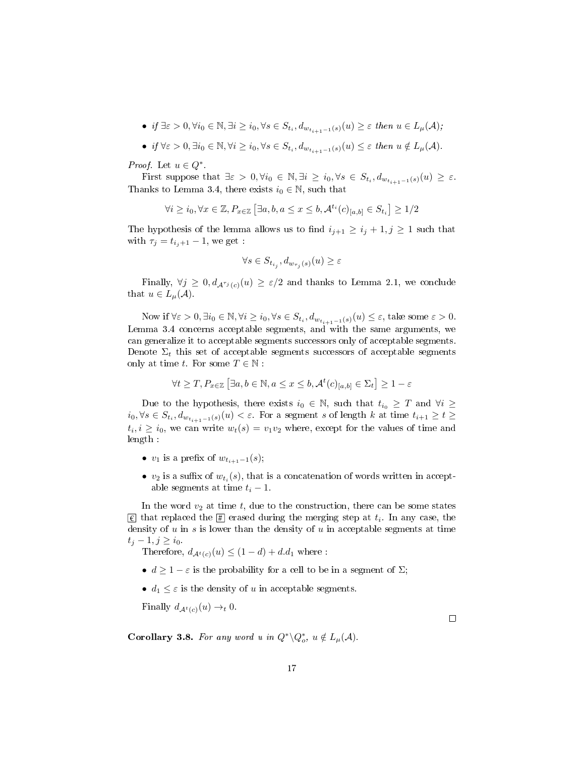- if  $\exists \varepsilon > 0, \forall i_0 \in \mathbb{N}, \exists i \geq i_0, \forall s \in S_{t_i}, d_{w_{t_{i+1}-1}(s)}(u) \geq \varepsilon$  then  $u \in L_{\mu}(\mathcal{A})$ ;
- if  $\forall \varepsilon > 0, \exists i_0 \in \mathbb{N}, \forall i \geq i_0, \forall s \in S_{t_i}, d_{w_{t_{i+1}-1}(s)}(u) \leq \varepsilon$  then  $u \notin L_{\mu}(\mathcal{A})$ .

*Proof.* Let  $u \in Q^*$ .

First suppose that  $\exists \varepsilon > 0, \forall i_0 \in \mathbb{N}, \exists i \geq i_0, \forall s \in S_{t_i}, d_{w_{t_{i+1}-1}(s)}(u) \geq \varepsilon$ . Thanks to Lemma 3.4, there exists  $i_0 \in \mathbb{N}$ , such that

$$
\forall i \geq i_0, \forall x \in \mathbb{Z}, P_{x \in \mathbb{Z}} \left[ \exists a, b, a \leq x \leq b, \mathcal{A}^{t_i}(c)_{[a,b]} \in S_{t_i} \right] \geq 1/2
$$

The hypothesis of the lemma allows us to find  $i_{j+1} \geq i_j + 1, j \geq 1$  such that with  $\tau_j = t_{i_j+1} - 1$ , we get :

$$
\forall s \in S_{t_{i_j}}, d_{w_{\tau_j}(s)}(u) \ge \varepsilon
$$

Finally,  $\forall j \geq 0, d_{\mathcal{A}^{\tau_{j}}(c)}(u) \geq \varepsilon/2$  and thanks to Lemma 2.1, we conclude that  $u \in L_{\mu}(\mathcal{A})$ .

Now if  $\forall \varepsilon > 0, \exists i_0 \in \mathbb{N}, \forall i \geq i_0, \forall s \in S_{t_i}, d_{w_{t_{i+1}-1}(s)}(u) \leq \varepsilon$ , take some  $\varepsilon > 0$ . Lemma 3.4 concerns acceptable segments, and with the same arguments, we can generalize it to acceptable segments successors only of acceptable segments. Denote  $\Sigma_t$  this set of acceptable segments successors of acceptable segments only at time t. For some  $T \in \mathbb{N}$ :

$$
\forall t \geq T, P_{x \in \mathbb{Z}} \left[ \exists a, b \in \mathbb{N}, a \leq x \leq b, \mathcal{A}^t(c)_{[a,b]} \in \Sigma_t \right] \geq 1 - \varepsilon
$$

Due to the hypothesis, there exists  $i_0 \in \mathbb{N}$ , such that  $t_{i_0} \geq T$  and  $\forall i \geq$  $i_0, \forall s \in S_{t_i}, d_{w_{t_{i+1}-1}(s)}(u) < \varepsilon$ . For a segment s of length k at time  $t_{i+1} \ge t \ge$  $t_i, i \geq i_0$ , we can write  $w_t(s) = v_1v_2$  where, except for the values of time and length :

- $v_1$  is a prefix of  $w_{t_{i+1}-1}(s)$ ;
- $v_2$  is a suffix of  $w_{t_i}(s)$ , that is a concatenation of words written in acceptable segments at time  $t_i - 1$ .

In the word  $v_2$  at time t, due to the construction, there can be some states  $\overline{\epsilon}$  that replaced the  $\overline{\sharp}$  erased during the merging step at  $t_i$ . In any case, the density of  $u$  in  $s$  is lower than the density of  $u$  in acceptable segments at time  $t_j - 1, j \geq i_0$ .

Therefore,  $d_{A^t(c)}(u) \leq (1-d) + d.d_1$  where:

- $d > 1 \varepsilon$  is the probability for a cell to be in a segment of  $\Sigma$ ;
- $d_1 \leq \varepsilon$  is the density of u in acceptable segments.

Finally  $d_{A^t(c)}(u) \rightarrow_t 0$ .

**Corollary 3.8.** For any word u in  $Q^*\backslash Q_o^*$ ,  $u \notin L_\mu(\mathcal{A})$ .

 $\Box$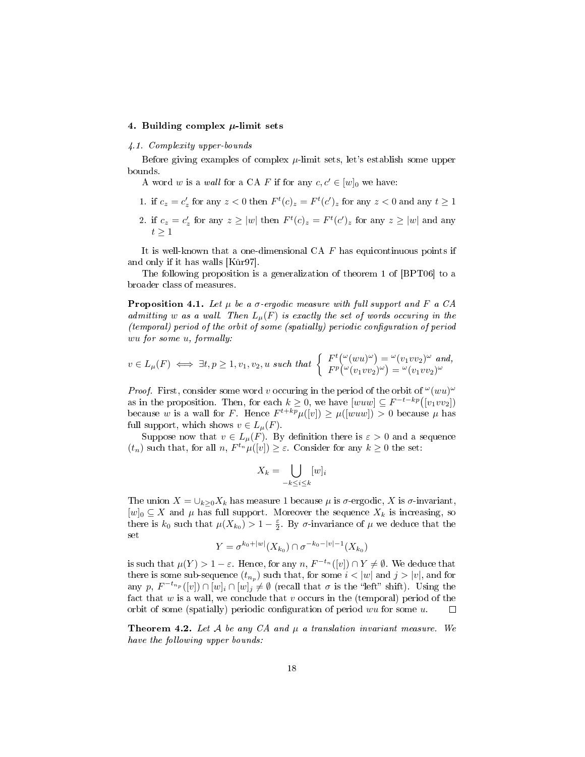## 4. Building complex  $\mu$ -limit sets

#### 4.1. Complexity upper-bounds

Before giving examples of complex  $\mu$ -limit sets, let's establish some upper bounds.

A word w is a wall for a CA F if for any  $c, c' \in [w]_0$  we have:

- 1. if  $c_z = c'_z$  for any  $z < 0$  then  $F<sup>t</sup>(c)_z = F<sup>t</sup>(c')_z$  for any  $z < 0$  and any  $t \ge 1$
- 2. if  $c_z = c'_z$  for any  $z \ge |w|$  then  $F^t(c)_z = F^t(c')_z$  for any  $z \ge |w|$  and any  $t \geq 1$

It is well-known that a one-dimensional CA  $F$  has equicontinuous points if and only if it has walls  $[K\ddot{u}r97]$ .

The following proposition is a generalization of theorem 1 of [BPT06] to a broader class of measures.

**Proposition 4.1.** Let  $\mu$  be a  $\sigma$ -ergodic measure with full support and F a CA admitting w as a wall. Then  $L_{\mu}(F)$  is exactly the set of words occuring in the  $(temporal)$  period of the orbit of some (spatially) periodic configuration of period wu for some u, formally:

$$
v \in L_{\mu}(F) \iff \exists t, p \ge 1, v_1, v_2, u \text{ such that } \begin{cases} F^t({}^{\omega}(wu)^{\omega}) = {}^{\omega}(v_1 v v_2)^{\omega} \text{ and,} \\ F^p({}^{\omega}(v_1 v v_2)^{\omega}) = {}^{\omega}(v_1 v v_2)^{\omega} \end{cases}
$$

*Proof.* First, consider some word v occuring in the period of the orbit of  $^{\omega}(wu)^{\omega}$ as in the proposition. Then, for each  $k \geq 0$ , we have  $[www] \subseteq F^{-t-kp}([v_1vv_2])$ because w is a wall for F. Hence  $F^{t+kp}\mu([v]) \ge \mu([wuw]) > 0$  because  $\mu$  has full support, which shows  $v \in L_{\mu}(F)$ .

Suppose now that  $v \in L_{\mu}(F)$ . By definition there is  $\varepsilon > 0$  and a sequence  $(t_n)$  such that, for all  $n$ ,  $F^{t_n}\mu([v]) \geq \varepsilon$ . Consider for any  $k \geq 0$  the set:

$$
X_k = \bigcup_{-k \le i \le k} [w]_i
$$

The union  $X = \bigcup_{k>0} X_k$  has measure 1 because  $\mu$  is  $\sigma$ -ergodic, X is  $\sigma$ -invariant,  $[w]_0 \subseteq X$  and  $\mu$  has full support. Moreover the sequence  $X_k$  is increasing, so there is  $k_0$  such that  $\mu(X_{k_0}) > 1 - \frac{\varepsilon}{2}$ . By  $\sigma$ -invariance of  $\mu$  we deduce that the set

$$
Y = \sigma^{k_0 + |w|}(X_{k_0}) \cap \sigma^{-k_0 - |v| - 1}(X_{k_0})
$$

is such that  $\mu(Y) > 1 - \varepsilon$ . Hence, for any  $n, F^{-t_n}([v]) \cap Y \neq \emptyset$ . We deduce that there is some sub-sequence  $(t_{n_p})$  such that, for some  $i < |w|$  and  $j > |v|$ , and for any p,  $F^{-t_{n_p}}([v]) \cap [w]_i \cap [w]_j \neq \emptyset$  (recall that  $\sigma$  is the "left" shift). Using the fact that  $w$  is a wall, we conclude that  $v$  occurs in the (temporal) period of the orbit of some (spatially) periodic configuration of period  $wu$  for some  $u$ .  $\Box$ 

**Theorem 4.2.** Let A be any CA and  $\mu$  a translation invariant measure. We have the following upper bounds: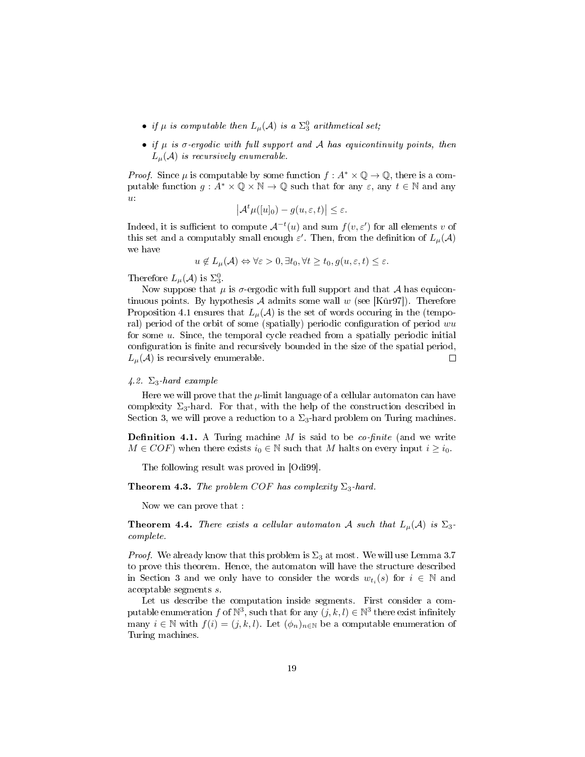- if  $\mu$  is computable then  $L_{\mu}(\mathcal{A})$  is a  $\Sigma^0_3$  arithmetical set;
- if  $\mu$  is  $\sigma$ -ergodic with full support and A has equicontinuity points, then  $L_{\mu}(\mathcal{A})$  is recursively enumerable.

*Proof.* Since  $\mu$  is computable by some function  $f : A^* \times \mathbb{Q} \to \mathbb{Q}$ , there is a computable function  $g: A^* \times \mathbb{Q} \times \mathbb{N} \to \mathbb{Q}$  such that for any  $\varepsilon$ , any  $t \in \mathbb{N}$  and any  $\boldsymbol{u}$ 

$$
\left|\mathcal{A}^t\mu([u]_0)-g(u,\varepsilon,t)\right|\leq\varepsilon.
$$

Indeed, it is sufficient to compute  $\mathcal{A}^{-t}(u)$  and sum  $f(v, \varepsilon')$  for all elements v of this set and a computably small enough  $\varepsilon'$ . Then, from the definition of  $L_{\mu}(\mathcal{A})$ we have

$$
u \notin L_{\mu}(\mathcal{A}) \Leftrightarrow \forall \varepsilon > 0, \exists t_0, \forall t \ge t_0, g(u, \varepsilon, t) \le \varepsilon.
$$

Therefore  $L_{\mu}(\mathcal{A})$  is  $\Sigma_3^0$ .

Now suppose that  $\mu$  is  $\sigma$ -ergodic with full support and that  $\mathcal A$  has equicontinuous points. By hypothesis A admits some wall w (see [Kur97]). Therefore Proposition 4.1 ensures that  $L_u(\mathcal{A})$  is the set of words occuring in the (temporal) period of the orbit of some (spatially) periodic configuration of period  $wu$ for some  $u$ . Since, the temporal cycle reached from a spatially periodic initial configuration is finite and recursively bounded in the size of the spatial period,  $L_{\mu}(\mathcal{A})$  is recursively enumerable.  $\Box$ 

#### 4.2.  $\Sigma_3$ -hard example

Here we will prove that the  $\mu$ -limit language of a cellular automaton can have complexity  $\Sigma_3$ -hard. For that, with the help of the construction described in Section 3, we will prove a reduction to a  $\Sigma_3$ -hard problem on Turing machines.

**Definition 4.1.** A Turing machine  $M$  is said to be *co-finite* (and we write  $M \in COF$ ) when there exists  $i_0 \in \mathbb{N}$  such that M halts on every input  $i \geq i_0$ .

The following result was proved in [Odi99].

### **Theorem 4.3.** The problem COF has complexity  $\Sigma_3$ -hard.

Now we can prove that :

**Theorem 4.4.** There exists a cellular automaton A such that  $L_{\mu}(\mathcal{A})$  is  $\Sigma_3$ . complete.

*Proof.* We already know that this problem is  $\Sigma_3$  at most. We will use Lemma 3.7 to prove this theorem. Hence, the automaton will have the structure described in Section 3 and we only have to consider the words  $w_{t_i}(s)$  for  $i \in \mathbb{N}$  and acceptable segments s.

Let us describe the computation inside segments. First consider a computable enumeration  $f$  of  $\mathbb{N}^3$ , such that for any  $(j, k, l) \in \mathbb{N}^3$  there exist infinitely many  $i \in \mathbb{N}$  with  $f(i) = (j, k, l)$ . Let  $(\phi_n)_{n \in \mathbb{N}}$  be a computable enumeration of Turing machines.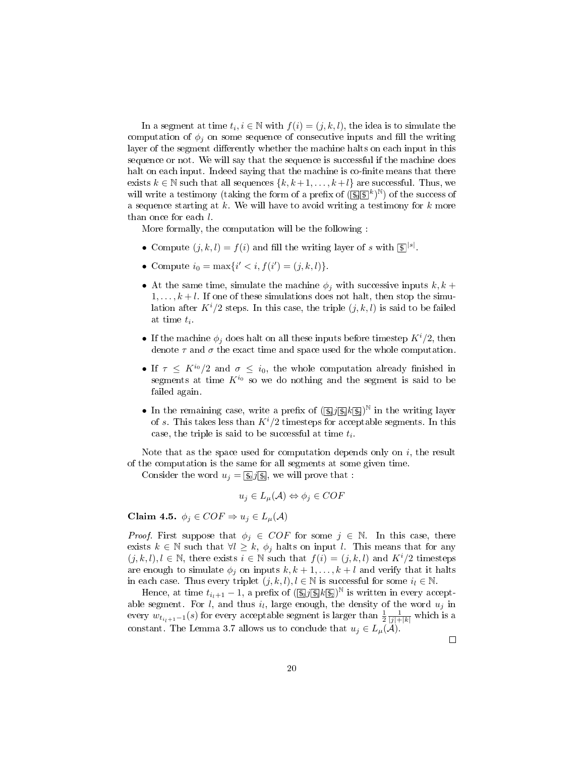In a segment at time  $t_i, i \in \mathbb{N}$  with  $f(i) = (j, k, l)$ , the idea is to simulate the computation of  $\phi_i$  on some sequence of consecutive inputs and fill the writing layer of the segment differently whether the machine halts on each input in this sequence or not. We will say that the sequence is successful if the machine does halt on each input. Indeed saying that the machine is co-finite means that there exists  $k \in \mathbb{N}$  such that all sequences  $\{k, k+1, \ldots, k+l\}$  are successful. Thus, we will write a testimony (taking the form of a prefix of  $(\mathbb{S}(\mathbb{S}^k)^{\mathbb{N}})$  of the success of a sequence starting at  $k$ . We will have to avoid writing a testimony for  $k$  more than once for each l.

More formally, the computation will be the following :

- Compute  $(j, k, l) = f(i)$  and fill the writing layer of s with  $\boxed{\mathfrak{s}}^{|s|}$ .
- Compute  $i_0 = \max\{i' < i, f(i') = (j, k, l)\}.$
- At the same time, simulate the machine  $\phi_j$  with successive inputs  $k, k +$  $1, \ldots, k+l$ . If one of these simulations does not halt, then stop the simulation after  $K^{i}/2$  steps. In this case, the triple  $(j, k, l)$  is said to be failed at time  $t_i$ .
- If the machine  $\phi_i$  does halt on all these inputs before timestep  $K^i/2$ , then denote  $\tau$  and  $\sigma$  the exact time and space used for the whole computation.
- If  $\tau \leq K^{i_0}/2$  and  $\sigma \leq i_0$ , the whole computation already finished in segments at time  $K^{i_0}$  so we do nothing and the segment is said to be failed again.
- In the remaining case, write a prefix of  $(\log j(\log k(\mathbb{B}))^{\mathbb{N}}$  in the writing layer of s. This takes less than  $K^{i}/2$  timesteps for acceptable segments. In this case, the triple is said to be successful at time  $t_i$ .

Note that as the space used for computation depends only on  $i$ , the result of the computation is the same for all segments at some given time.

Consider the word  $u_j = \frac{\xi}{\sqrt{2\pi}}$ , we will prove that :

$$
u_j \in L_{\mu}(\mathcal{A}) \Leftrightarrow \phi_j \in COF
$$

Claim 4.5.  $\phi_j \in COF \Rightarrow u_j \in L_{\mu}(A)$ 

*Proof.* First suppose that  $\phi_i \in COF$  for some  $j \in \mathbb{N}$ . In this case, there exists  $k \in \mathbb{N}$  such that  $\forall l \geq k$ ,  $\phi_j$  halts on input l. This means that for any  $(j, k, l), l \in \mathbb{N}$ , there exists  $i \in \mathbb{N}$  such that  $f(i) = (j, k, l)$  and  $K^{i}/2$  timesteps are enough to simulate  $\phi_j$  on inputs  $k, k+1, \ldots, k+l$  and verify that it halts in each case. Thus every triplet  $(j, k, l)$ ,  $l \in \mathbb{N}$  is successful for some  $i_l \in \mathbb{N}$ .

Hence, at time  $t_{i_l+1} - 1$ , a prefix of  $(\sqrt{\underline{\mathbb{S}}_l} / \sqrt{\underline{\mathbb{S}}_l} / \sqrt{\underline{\mathbb{S}}_l})^N$  is written in every acceptable segment. For l, and thus  $i_l$ , large enough, the density of the word  $u_j$  in every  $w_{t_{i+1}-1}(s)$  for every acceptable segment is larger than  $\frac{1}{2} \frac{1}{|j|+|k|}$  which is a constant. The Lemma 3.7 allows us to conclude that  $u_j \in L_{\mu}(\mathcal{A})$ .

 $\Box$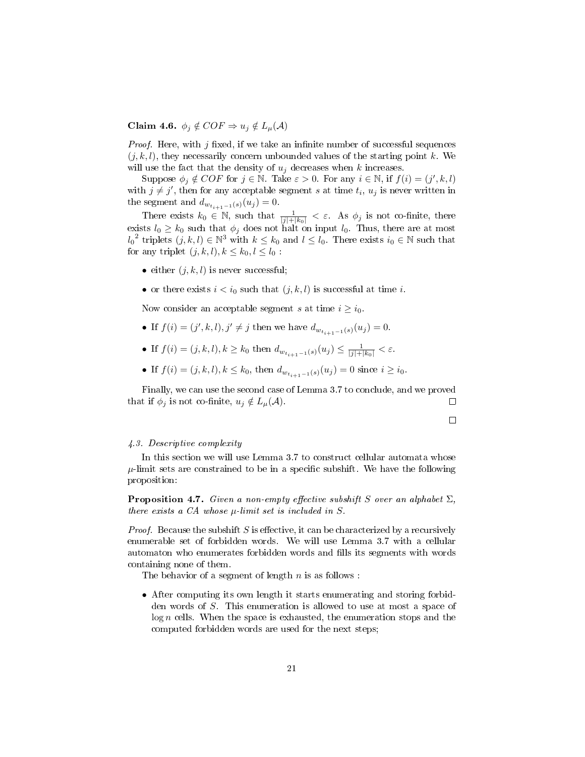## Claim 4.6.  $\phi_j \notin COF \Rightarrow u_j \notin L_{\mu}(A)$

*Proof.* Here, with  $j$  fixed, if we take an infinite number of successful sequences  $(j, k, l)$ , they necessarily concern unbounded values of the starting point k. We will use the fact that the density of  $u_i$  decreases when k increases.

Suppose  $\phi_j \notin COF$  for  $j \in \mathbb{N}$ . Take  $\varepsilon > 0$ . For any  $i \in \mathbb{N}$ , if  $f(i) = (j', k, l)$ with  $j \neq j'$ , then for any acceptable segment s at time  $t_i$ ,  $u_j$  is never written in the segment and  $d_{w_{t_{i+1}-1}(s)}(u_j) = 0.$ 

There exists  $k_0 \in \mathbb{N}$ , such that  $\frac{1}{|j|+|k_0|} < \varepsilon$ . As  $\phi_j$  is not co-finite, there exists  $l_0 \geq k_0$  such that  $\phi_j$  does not halt on input  $l_0$ . Thus, there are at most  $l_0^2$  triplets  $(j, k, l) \in \mathbb{N}^3$  with  $k \leq k_0$  and  $l \leq l_0$ . There exists  $i_0 \in \mathbb{N}$  such that for any triplet  $(j, k, l), k \leq k_0, l \leq l_0$ :

- either  $(i, k, l)$  is never successful:
- or there exists  $i < i_0$  such that  $(j, k, l)$  is successful at time i.

Now consider an acceptable segment s at time  $i \geq i_0$ .

- If  $f(i) = (j', k, l), j' \neq j$  then we have  $d_{w_{t_{i+1}-1}(s)}(u_j) = 0$ .
- If  $f(i) = (j, k, l), k \geq k_0$  then  $d_{w_{t_{i+1}-1}(s)}(u_j) \leq \frac{1}{|j|+|k_0|} < \varepsilon$ .
- If  $f(i) = (j, k, l), k \leq k_0$ , then  $d_{w_{t_{i+1}-1}(s)}(u_j) = 0$  since  $i \geq i_0$ .

Finally, we can use the second case of Lemma 3.7 to conclude, and we proved that if  $\phi_j$  is not co-finite,  $u_j \notin L_{\mu}(\mathcal{A})$ .  $\Box$ 

## $\Box$

#### 4.3. Descriptive complexity

In this section we will use Lemma 3.7 to construct cellular automata whose  $\mu$ -limit sets are constrained to be in a specific subshift. We have the following proposition:

**Proposition 4.7.** Given a non-empty effective subshift S over an alphabet  $\Sigma$ , there exists a  $CA$  whose  $\mu$ -limit set is included in S.

*Proof.* Because the subshift S is effective, it can be characterized by a recursively enumerable set of forbidden words. We will use Lemma 3.7 with a cellular automaton who enumerates forbidden words and fills its segments with words containing none of them.

The behavior of a segment of length  $n$  is as follows :

• After computing its own length it starts enumerating and storing forbidden words of S. This enumeration is allowed to use at most a space of  $log n$  cells. When the space is exhausted, the enumeration stops and the computed forbidden words are used for the next steps;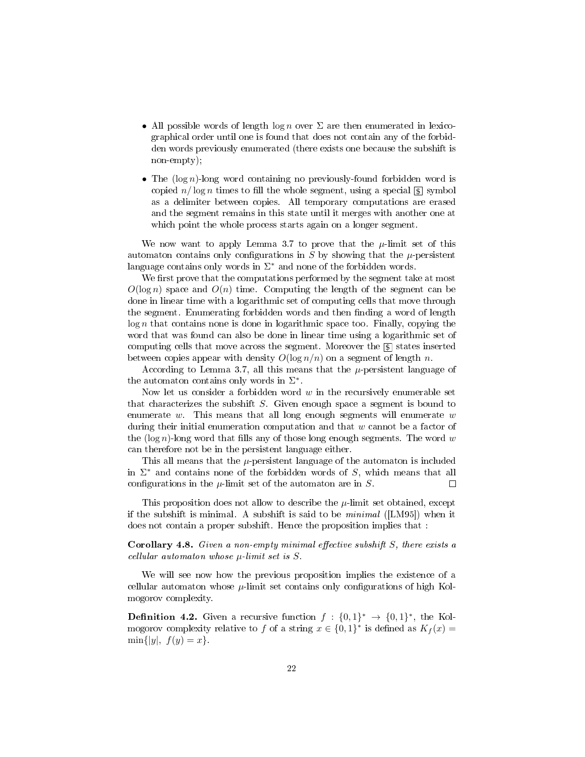- All possible words of length log n over  $\Sigma$  are then enumerated in lexicographical order until one is found that does not contain any of the forbidden words previously enumerated (there exists one because the subshift is non-empty);
- The  $(\log n)$ -long word containing no previously-found forbidden word is copied  $n/\log n$  times to fill the whole segment, using a special  $\lbrack \mathbb{S} \rbrack$  symbol as a delimiter between copies. All temporary computations are erased and the segment remains in this state until it merges with another one at which point the whole process starts again on a longer segment.

We now want to apply Lemma 3.7 to prove that the  $\mu$ -limit set of this automaton contains only configurations in S by showing that the  $\mu$ -persistent language contains only words in  $\Sigma^*$  and none of the forbidden words.

We first prove that the computations performed by the segment take at most  $O(\log n)$  space and  $O(n)$  time. Computing the length of the segment can be done in linear time with a logarithmic set of computing cells that move through the segment. Enumerating forbidden words and then finding a word of length  $log n$  that contains none is done in logarithmic space too. Finally, copying the word that was found can also be done in linear time using a logarithmic set of computing cells that move across the segment. Moreover the  $\boxed{\$}$  states inserted between copies appear with density  $O(\log n/n)$  on a segment of length n.

According to Lemma 3.7, all this means that the  $\mu$ -persistent language of the automaton contains only words in  $\Sigma^*$ .

Now let us consider a forbidden word  $w$  in the recursively enumerable set that characterizes the subshift S. Given enough space a segment is bound to enumerate  $w$ . This means that all long enough segments will enumerate  $w$ during their initial enumeration computation and that  $w$  cannot be a factor of the (log n)-long word that fills any of those long enough segments. The word w can therefore not be in the persistent language either.

This all means that the  $\mu$ -persistent language of the automaton is included in  $\Sigma^*$  and contains none of the forbidden words of S, which means that all configurations in the  $\mu$ -limit set of the automaton are in S.  $\Box$ 

This proposition does not allow to describe the  $\mu$ -limit set obtained, except if the subshift is minimal. A subshift is said to be  $minimal$  ([LM95]) when it does not contain a proper subshift. Hence the proposition implies that :

**Corollary 4.8.** Given a non-empty minimal effective subshift  $S$ , there exists a cellular automaton whose  $\mu$ -limit set is  $S$ .

We will see now how the previous proposition implies the existence of a cellular automaton whose  $\mu$ -limit set contains only configurations of high Kolmogorov complexity.

**Definition 4.2.** Given a recursive function  $f: \{0,1\}^* \to \{0,1\}^*$ , the Kolmogorov complexity relative to f of a string  $x \in \{0,1\}^*$  is defined as  $K_f(x) =$  $\min\{|y|, f(y)=x\}.$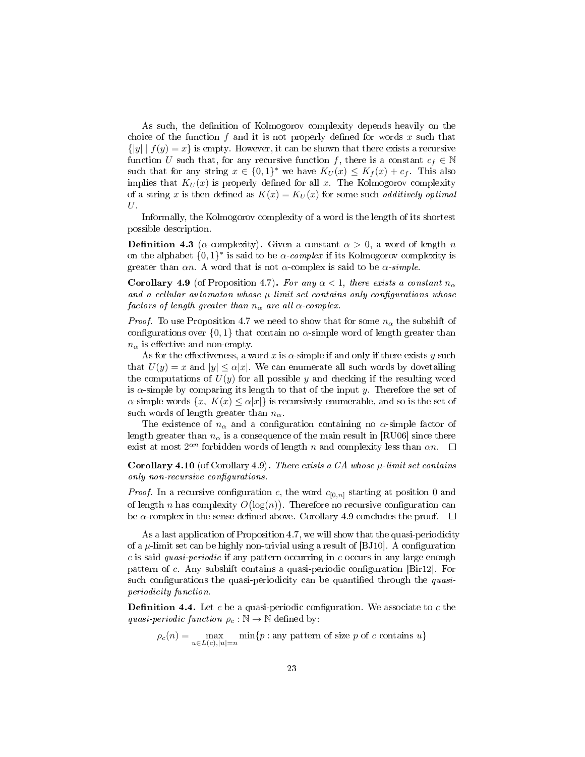As such, the definition of Kolmogorov complexity depends heavily on the choice of the function  $f$  and it is not properly defined for words  $x$  such that  $\{|y| | f(y) = x\}$  is empty. However, it can be shown that there exists a recursive function U such that, for any recursive function f, there is a constant  $c_f \in \mathbb{N}$ such that for any string  $x \in \{0,1\}^*$  we have  $K_U(x) \leq K_f(x) + c_f$ . This also implies that  $K_U(x)$  is properly defined for all x. The Kolmogorov complexity of a string x is then defined as  $K(x) = K_U(x)$  for some such *additively optimal*  $U$ .

Informally, the Kolmogorov complexity of a word is the length of its shortest possible description.

**Definition 4.3** ( $\alpha$ -complexity). Given a constant  $\alpha > 0$ , a word of length n on the alphabet  $\{0,1\}^*$  is said to be  $\alpha$ -complex if its Kolmogorov complexity is greater than  $\alpha n$ . A word that is not  $\alpha$ -complex is said to be  $\alpha$ -simple.

**Corollary 4.9** (of Proposition 4.7). For any  $\alpha < 1$ , there exists a constant  $n_{\alpha}$ and a cellular automaton whose  $\mu$ -limit set contains only configurations whose factors of length greater than  $n_{\alpha}$  are all  $\alpha$ -complex.

*Proof.* To use Proposition 4.7 we need to show that for some  $n_{\alpha}$  the subshift of configurations over  $\{0,1\}$  that contain no  $\alpha$ -simple word of length greater than  $n_{\alpha}$  is effective and non-empty.

As for the effectiveness, a word x is  $\alpha$ -simple if and only if there exists y such that  $U(y) = x$  and  $|y| \leq \alpha |x|$ . We can enumerate all such words by dovetailing the computations of  $U(y)$  for all possible y and checking if the resulting word is  $\alpha$ -simple by comparing its length to that of the input y. Therefore the set of  $\alpha$ -simple words  $\{x, K(x) \leq \alpha |x|\}$  is recursively enumerable, and so is the set of such words of length greater than  $n_{\alpha}$ .

The existence of  $n_{\alpha}$  and a configuration containing no  $\alpha$ -simple factor of length greater than  $n_{\alpha}$  is a consequence of the main result in [RU06] since there exist at most  $2^{\alpha n}$  forbidden words of length n and complexity less than  $\alpha n$ .

**Corollary 4.10** (of Corollary 4.9). There exists a CA whose  $\mu$ -limit set contains only non-recursive configurations.

*Proof.* In a recursive configuration c, the word  $c_{[0,n]}$  starting at position 0 and of length n has complexity  $O(\log(n))$ . Therefore no recursive configuration can be  $\alpha$ -complex in the sense defined above. Corollary 4.9 concludes the proof.  $\Box$ 

As a last application of Proposition 4.7, we will show that the quasi-periodicity of a  $\mu$ -limit set can be highly non-trivial using a result of [BJ10]. A configuration  $c$  is said quasi-periodic if any pattern occurring in  $c$  occurs in any large enough pattern of c. Any subshift contains a quasi-periodic configuration [Bir12]. For such configurations the quasi-periodicity can be quantified through the quasiperiodicity function.

**Definition 4.4.** Let c be a quasi-periodic configuration. We associate to c the quasi-periodic function  $\rho_c : \mathbb{N} \to \mathbb{N}$  defined by:

 $\rho_c(n) = \max_{u \in L(c), |u|=n} \min\{p : \text{any pattern of size } p \text{ of } c \text{ contains } u\}$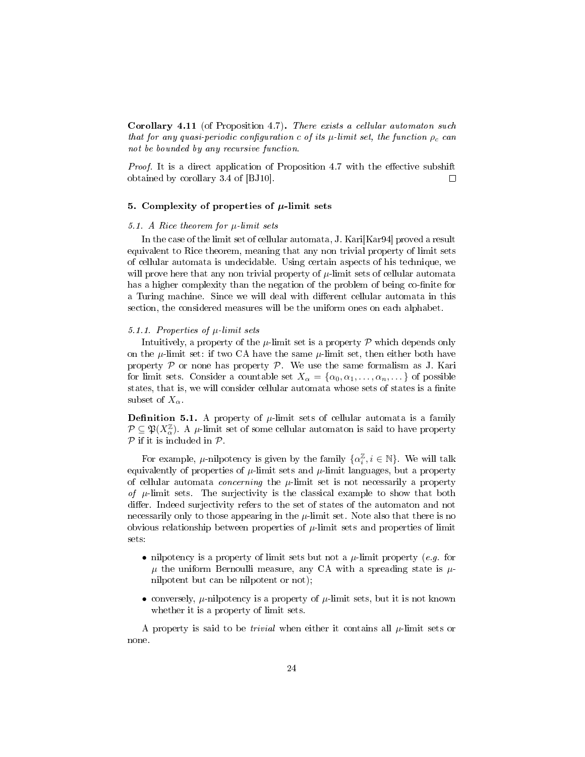Corollary 4.11 (of Proposition 4.7). There exists a cellular automaton such that for any quasi-periodic configuration c of its  $\mu$ -limit set, the function  $\rho_c$  can not be bounded by any recursive function.

*Proof.* It is a direct application of Proposition 4.7 with the effective subshift obtained by corollary 3.4 of [BJ10].  $\Box$ 

## 5. Complexity of properties of  $\mu$ -limit sets

#### 5.1. A Rice theorem for  $\mu$ -limit sets

In the case of the limit set of cellular automata, J. Kari[Kar94] proved a result equivalent to Rice theorem, meaning that any non trivial property of limit sets of cellular automata is undecidable. Using certain aspects of his technique, we will prove here that any non trivial property of  $\mu$ -limit sets of cellular automata has a higher complexity than the negation of the problem of being co-finite for a Turing machine. Since we will deal with different cellular automata in this section, the considered measures will be the uniform ones on each alphabet.

### 5.1.1. Properties of  $\mu$ -limit sets

Intuitively, a property of the  $\mu$ -limit set is a property  $\mathcal P$  which depends only on the  $\mu$ -limit set: if two CA have the same  $\mu$ -limit set, then either both have property  $P$  or none has property  $P$ . We use the same formalism as J. Kari for limit sets. Consider a countable set  $X_{\alpha} = {\alpha_0, \alpha_1, ..., \alpha_n, ...}$  of possible states, that is, we will consider cellular automata whose sets of states is a finite subset of  $X_{\alpha}$ .

**Definition 5.1.** A property of  $\mu$ -limit sets of cellular automata is a family  $P \subseteq \mathfrak{P}(X_{\alpha}^{\mathbb{Z}})$ . A  $\mu$ -limit set of some cellular automaton is said to have property  $P$  if it is included in  $P$ .

For example,  $\mu$ -nilpotency is given by the family  $\{\alpha_i^{\mathbb{Z}}, i \in \mathbb{N}\}\)$ . We will talk equivalently of properties of  $\mu$ -limit sets and  $\mu$ -limit languages, but a property of cellular automata *concerning* the  $\mu$ -limit set is not necessarily a property of  $\mu$ -limit sets. The surjectivity is the classical example to show that both differ. Indeed surjectivity refers to the set of states of the automaton and not necessarily only to those appearing in the  $\mu$ -limit set. Note also that there is no obvious relationship between properties of  $\mu$ -limit sets and properties of limit sets:

- nilpotency is a property of limit sets but not a  $\mu$ -limit property (e.g. for  $\mu$  the uniform Bernoulli measure, any CA with a spreading state is  $\mu$ nilpotent but can be nilpotent or not);
- conversely,  $\mu$ -nilpotency is a property of  $\mu$ -limit sets, but it is not known whether it is a property of limit sets.

A property is said to be *trivial* when either it contains all  $\mu$ -limit sets or none.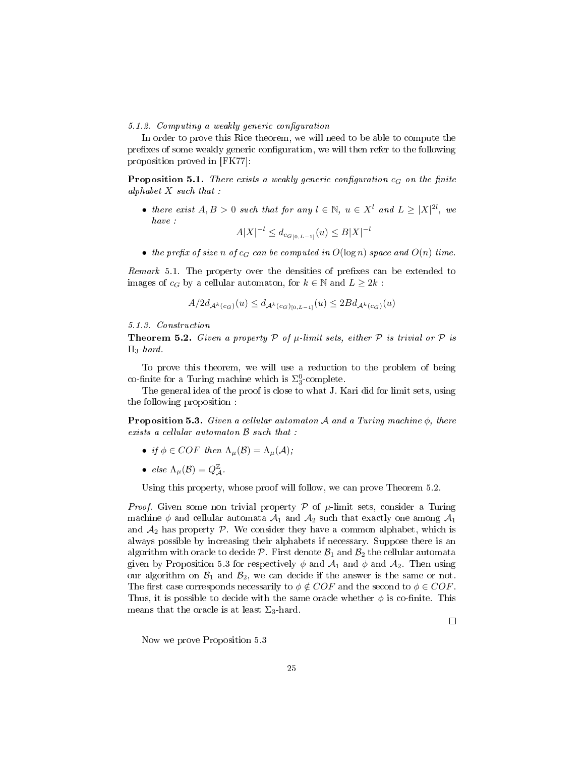5.1.2. Computing a weakly generic configuration

In order to prove this Rice theorem, we will need to be able to compute the prefixes of some weakly generic configuration, we will then refer to the following proposition proved in [FK77]:

**Proposition 5.1.** There exists a weakly generic configuration  $c_G$  on the finite alphabet  $X$  such that:

• there exist  $A, B > 0$  such that for any  $l \in \mathbb{N}$ ,  $u \in X^l$  and  $L \geq |X|^{2l}$ , we have :

$$
A|X|^{-l} \le d_{c_{G[0,L-1]}}(u) \le B|X|^{-l}
$$

• the prefix of size n of  $c_G$  can be computed in  $O(\log n)$  space and  $O(n)$  time.

Remark 5.1. The property over the densities of prefixes can be extended to images of  $c_G$  by a cellular automaton, for  $k \in \mathbb{N}$  and  $L \geq 2k$ :

$$
A/2d_{\mathcal{A}^k(c_G)}(u) \le d_{\mathcal{A}^k(c_G)_{[0,L-1]}}(u) \le 2Bd_{\mathcal{A}^k(c_G)}(u)
$$

5.1.3. Construction

**Theorem 5.2.** Given a property  $P$  of  $\mu$ -limit sets, either  $P$  is trivial or  $P$  is  $\Pi_3$ -hard.

To prove this theorem, we will use a reduction to the problem of being co-finite for a Turing machine which is  $\Sigma^0_3$ -complete.

The general idea of the proof is close to what J. Kari did for limit sets, using the following proposition :

**Proposition 5.3.** Given a cellular automaton A and a Turing machine  $\phi$ , there exists a cellular automaton B such that :

- if  $\phi \in COF$  then  $\Lambda_{\mu}(\mathcal{B}) = \Lambda_{\mu}(\mathcal{A});$
- else  $\Lambda_{\mu}(\mathcal{B}) = Q_{\mathcal{A}}^{\mathbb{Z}}$ .

Using this property, whose proof will follow, we can prove Theorem 5.2.

*Proof.* Given some non trivial property  $P$  of  $\mu$ -limit sets, consider a Turing machine  $\phi$  and cellular automata  $\mathcal{A}_1$  and  $\mathcal{A}_2$  such that exactly one among  $\mathcal{A}_1$ and  $A_2$  has property  $P$ . We consider they have a common alphabet, which is always possible by increasing their alphabets if necessary. Suppose there is an algorithm with oracle to decide  $P$ . First denote  $B_1$  and  $B_2$  the cellular automata given by Proposition 5.3 for respectively  $\phi$  and  $\mathcal{A}_1$  and  $\phi$  and  $\mathcal{A}_2$ . Then using our algorithm on  $\mathcal{B}_1$  and  $\mathcal{B}_2$ , we can decide if the answer is the same or not. The first case corresponds necessarily to  $\phi \notin COF$  and the second to  $\phi \in COF$ . Thus, it is possible to decide with the same oracle whether  $\phi$  is co-finite. This means that the oracle is at least  $\Sigma_3$ -hard.

Now we prove Proposition 5.3

 $\Box$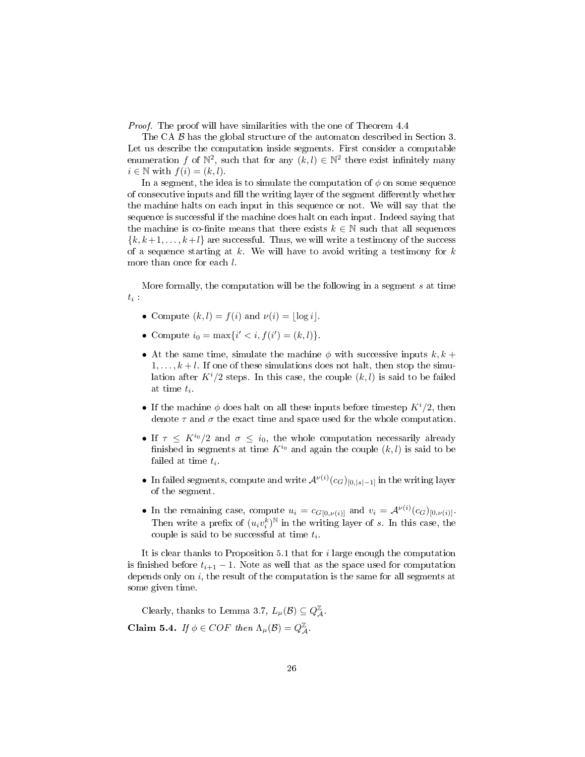Proof. The proof will have similarities with the one of Theorem 4.4

The CA  $\beta$  has the global structure of the automaton described in Section 3. Let us describe the computation inside segments. First consider a computable enumeration f of  $\mathbb{N}^2$ , such that for any  $(k, l) \in \mathbb{N}^2$  there exist infinitely many  $i \in \mathbb{N}$  with  $f(i) = (k, l)$ .

In a segment, the idea is to simulate the computation of  $\phi$  on some sequence of consecutive inputs and fill the writing layer of the segment differently whether the machine halts on each input in this sequence or not. We will say that the sequence is successful if the machine does halt on each input. Indeed saying that the machine is co-finite means that there exists  $k \in \mathbb{N}$  such that all sequences  ${k, k+1, \ldots, k+l}$  are successful. Thus, we will write a testimony of the success of a sequence starting at  $k$ . We will have to avoid writing a testimony for  $k$ more than once for each  $l$ .

More formally, the computation will be the following in a segment s at time  $t_i$ :

- Compute  $(k, l) = f(i)$  and  $\nu(i) = |\log i|$ .
- Compute  $i_0 = \max\{i' < i, f(i') = (k, l)\}.$
- At the same time, simulate the machine  $\phi$  with successive inputs  $k, k +$  $1, \ldots, k+l$ . If one of these simulations does not halt, then stop the simulation after  $K^{i}/2$  steps. In this case, the couple  $(k, l)$  is said to be failed at time  $t_i$ .
- If the machine  $\phi$  does halt on all these inputs before timestep  $K^{i}/2$ , then denote  $\tau$  and  $\sigma$  the exact time and space used for the whole computation.
- If  $\tau \leq K^{i_0}/2$  and  $\sigma \leq i_0$ , the whole computation necessarily already finished in segments at time  $K^{i_0}$  and again the couple  $(k, l)$  is said to be failed at time  $t_i$ .
- In failed segments, compute and write  $\mathcal{A}^{\nu(i)}(c_G)_{[0,|s|-1]}$  in the writing layer of the segment.
- In the remaining case, compute  $u_i = c_{G[0,\nu(i)]}$  and  $v_i = \mathcal{A}^{\nu(i)}(c_G)_{[0,\nu(i)]}$ . Then write a prefix of  $(u_i v_i^k)^{\mathbb{N}}$  in the writing layer of s. In this case, the couple is said to be successful at time  $t_i$ .

It is clear thanks to Proposition 5.1 that for  $i$  large enough the computation is finished before  $t_{i+1} - 1$ . Note as well that as the space used for computation depends only on  $i$ , the result of the computation is the same for all segments at some given time.

Clearly, thanks to Lemma 3.7,  $L_{\mu}(\mathcal{B})\subseteq Q_{\mathcal{A}}^{\mathbb{Z}}.$ Claim 5.4. If  $\phi \in COF$  then  $\Lambda_{\mu}(\mathcal{B}) = Q_{\mathcal{A}}^{\mathbb{Z}}$ .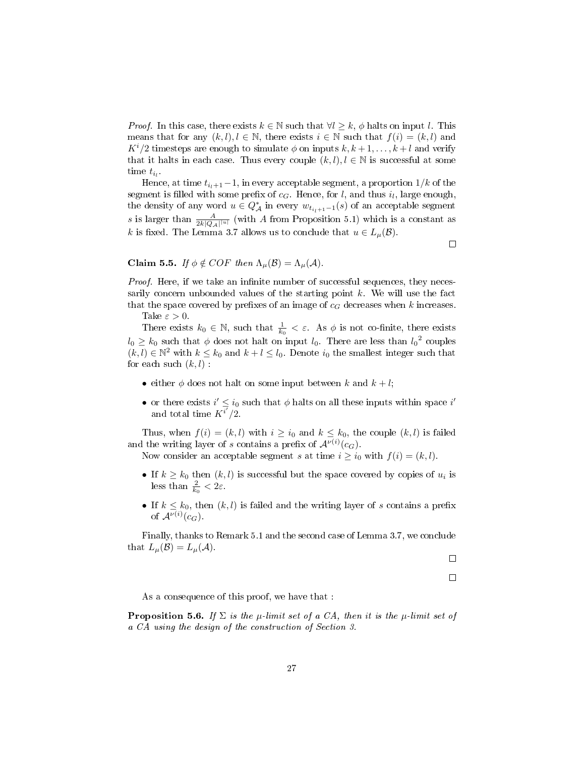*Proof.* In this case, there exists  $k \in \mathbb{N}$  such that  $\forall l \geq k$ ,  $\phi$  halts on input l. This means that for any  $(k, l), l \in \mathbb{N}$ , there exists  $i \in \mathbb{N}$  such that  $f(i) = (k, l)$  and  $K^{i}/2$  timesteps are enough to simulate  $\phi$  on inputs  $k, k+1, \ldots, k+l$  and verify that it halts in each case. Thus every couple  $(k, l)$ ,  $l \in \mathbb{N}$  is successful at some time  $t_{i_l}$ .

Hence, at time  $t_{i+1}-1$ , in every acceptable segment, a proportion  $1/k$  of the segment is filled with some prefix of  $c_G$ . Hence, for l, and thus  $i_l$ , large enough, the density of any word  $u \in Q^*_{\mathcal{A}}$  in every  $w_{t_{i+1}-1}(s)$  of an acceptable segment s is larger than  $\frac{A}{2k|Q_A||u|}$  (with A from Proposition 5.1) which is a constant as k is fixed. The Lemma 3.7 allows us to conclude that  $u \in L_{\mu}(\mathcal{B})$ .

 $\Box$ 

## Claim 5.5. If  $\phi \notin COF$  then  $\Lambda_{\mu}(\mathcal{B}) = \Lambda_{\mu}(\mathcal{A})$ .

*Proof.* Here, if we take an infinite number of successful sequences, they necessarily concern unbounded values of the starting point  $k$ . We will use the fact that the space covered by prefixes of an image of  $c_G$  decreases when k increases.

Take  $\varepsilon > 0$ .

There exists  $k_0 \in \mathbb{N}$ , such that  $\frac{1}{k_0} < \varepsilon$ . As  $\phi$  is not co-finite, there exists  $l_0 \geq k_0$  such that  $\phi$  does not halt on input  $l_0$ . There are less than  $l_0^2$  couples  $(k, l) \in \mathbb{N}^2$  with  $k \leq k_0$  and  $k + l \leq l_0$ . Denote  $i_0$  the smallest integer such that for each such  $(k, l)$ :

- either  $\phi$  does not halt on some input between k and  $k+l$ ;
- or there exists  $i' \leq i_0$  such that  $\phi$  halts on all these inputs within space  $i'$ and total time  $K^{\overline{i'}}/2$ .

Thus, when  $f(i) = (k, l)$  with  $i \geq i_0$  and  $k \leq k_0$ , the couple  $(k, l)$  is failed and the writing layer of s contains a prefix of  $\mathcal{A}^{\nu(i)}(c_G)$ .

Now consider an acceptable segment s at time  $i \geq i_0$  with  $f(i) = (k, l)$ .

- If  $k \geq k_0$  then  $(k, l)$  is successful but the space covered by copies of  $u_i$  is less than  $\frac{2}{k_0} < 2\varepsilon$ .
- If  $k \leq k_0$ , then  $(k, l)$  is failed and the writing layer of s contains a prefix of  $\mathcal{A}^{\nu(i)}(c_G)$ .

Finally, thanks to Remark 5.1 and the second case of Lemma 3.7, we conclude that  $L_{\mu}(\mathcal{B})=L_{\mu}(\mathcal{A}).$ 

 $\Box$ 

 $\Box$ 

As a consequence of this proof, we have that :

**Proposition 5.6.** If  $\Sigma$  is the  $\mu$ -limit set of a CA, then it is the  $\mu$ -limit set of a CA using the design of the construction of Section 3.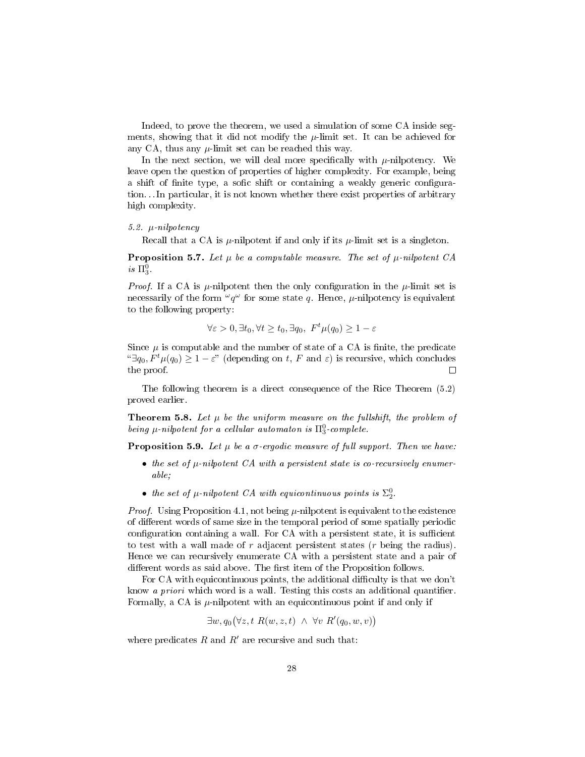Indeed, to prove the theorem, we used a simulation of some CA inside segments, showing that it did not modify the  $\mu$ -limit set. It can be achieved for any CA, thus any  $\mu$ -limit set can be reached this way.

In the next section, we will deal more specifically with  $\mu$ -nilpotency. We leave open the question of properties of higher complexity. For example, being a shift of finite type, a sofic shift or containing a weakly generic configuration. . . In particular, it is not known whether there exist properties of arbitrary high complexity.

#### 5.2. µ-nilpotency

Recall that a CA is  $\mu$ -nilpotent if and only if its  $\mu$ -limit set is a singleton.

**Proposition 5.7.** Let  $\mu$  be a computable measure. The set of  $\mu$ -nilpotent CA  $is \ \Pi_3^0$ .

*Proof.* If a CA is  $\mu$ -nilpotent then the only configuration in the  $\mu$ -limit set is necessarily of the form  $\omega q^{\omega}$  for some state q. Hence,  $\mu$ -nilpotency is equivalent to the following property:

$$
\forall \varepsilon > 0, \exists t_0, \forall t \ge t_0, \exists q_0, \ F^t \mu(q_0) \ge 1 - \varepsilon
$$

Since  $\mu$  is computable and the number of state of a CA is finite, the predicate <sup>"</sup>∃q<sub>0</sub>,  $F<sup>t</sup>μ(q<sub>0</sub>)$  ≥ 1 –  $\varepsilon$ " (depending on t, F and  $\varepsilon$ ) is recursive, which concludes the proof. the proof.

The following theorem is a direct consequence of the Rice Theorem (5.2) proved earlier.

**Theorem 5.8.** Let  $\mu$  be the uniform measure on the fullshift, the problem of being  $\mu$ -nilpotent for a cellular automaton is  $\Pi^0_3$ -complete.

**Proposition 5.9.** Let  $\mu$  be a  $\sigma$ -ergodic measure of full support. Then we have:

- the set of  $\mu$ -nilpotent CA with a persistent state is co-recursively enumerable;
- the set of  $\mu$ -nilpotent CA with equicontinuous points is  $\Sigma^0_2$ .

*Proof.* Using Proposition 4.1, not being  $\mu$ -nilpotent is equivalent to the existence of different words of same size in the temporal period of some spatially periodic configuration containing a wall. For CA with a persistent state, it is sufficient to test with a wall made of  $r$  adjacent persistent states  $(r$  being the radius). Hence we can recursively enumerate CA with a persistent state and a pair of different words as said above. The first item of the Proposition follows.

For CA with equicontinuous points, the additional difficulty is that we don't know *a priori* which word is a wall. Testing this costs an additional quantifier. Formally, a CA is  $\mu$ -nilpotent with an equicontinuous point if and only if

 $\exists w, q_0(\forall z, t \ R(w, z, t) \ \wedge \ \forall v \ R'(q_0, w, v))$ 

where predicates R and  $R'$  are recursive and such that: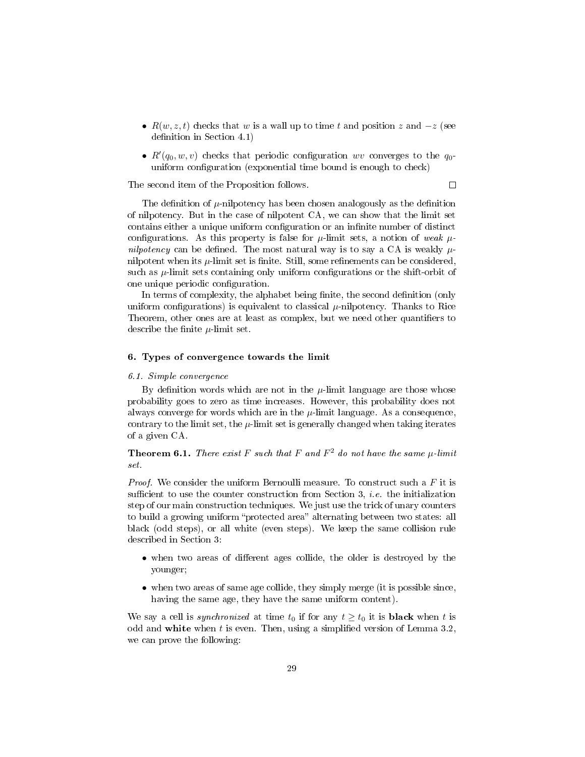- $R(w, z, t)$  checks that w is a wall up to time t and position z and  $-z$  (see definition in Section  $4.1$ )
- $R'(q_0, w, v)$  checks that periodic configuration wv converges to the  $q_0$ uniform configuration (exponential time bound is enough to check)

The second item of the Proposition follows.

 $\Box$ 

The definition of  $\mu$ -nilpotency has been chosen analogously as the definition of nilpotency. But in the case of nilpotent CA, we can show that the limit set contains either a unique uniform configuration or an infinite number of distinct configurations. As this property is false for  $\mu$ -limit sets, a notion of weak  $\mu$ nilpotency can be defined. The most natural way is to say a CA is weakly  $\mu$ nilpotent when its  $\mu$ -limit set is finite. Still, some refinements can be considered, such as  $\mu$ -limit sets containing only uniform configurations or the shift-orbit of one unique periodic configuration.

In terms of complexity, the alphabet being finite, the second definition (only uniform configurations) is equivalent to classical  $\mu$ -nilpotency. Thanks to Rice Theorem, other ones are at least as complex, but we need other quantifiers to describe the finite  $\mu$ -limit set.

## 6. Types of convergence towards the limit

#### 6.1. Simple convergence

By definition words which are not in the  $\mu$ -limit language are those whose probability goes to zero as time increases. However, this probability does not always converge for words which are in the  $\mu$ -limit language. As a consequence, contrary to the limit set, the  $\mu$ -limit set is generally changed when taking iterates of a given CA.

**Theorem 6.1.** There exist F such that F and  $F^2$  do not have the same  $\mu$ -limit set.

*Proof.* We consider the uniform Bernoulli measure. To construct such a  $F$  it is sufficient to use the counter construction from Section 3, *i.e.* the initialization step of our main construction techniques. We just use the trick of unary counters to build a growing uniform "protected area" alternating between two states: all black (odd steps), or all white (even steps). We keep the same collision rule described in Section 3:

- when two areas of different ages collide, the older is destroyed by the younger;
- when two areas of same age collide, they simply merge (it is possible since, having the same age, they have the same uniform content).

We say a cell is *synchronized* at time  $t_0$  if for any  $t \geq t_0$  it is **black** when t is odd and white when t is even. Then, using a simplified version of Lemma  $3.2$ , we can prove the following: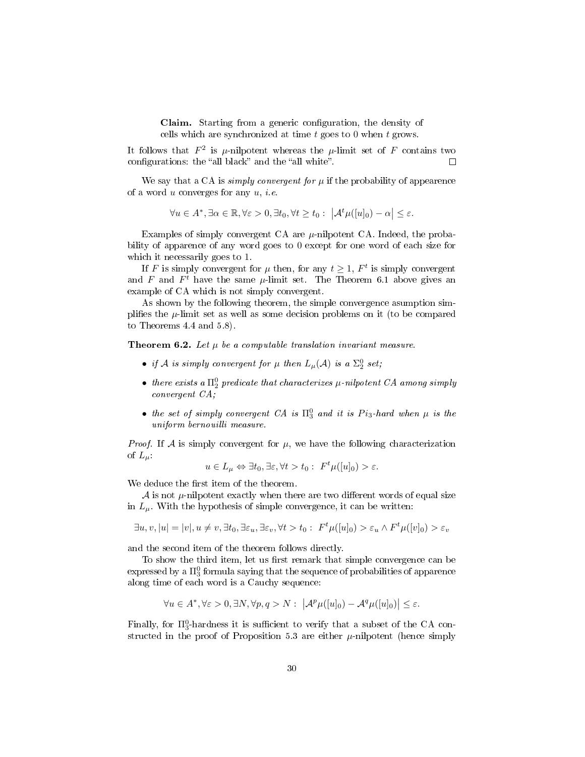**Claim.** Starting from a generic configuration, the density of cells which are synchronized at time  $t$  goes to 0 when  $t$  grows.

It follows that  $F^2$  is  $\mu$ -nilpotent whereas the  $\mu$ -limit set of F contains two configurations: the "all black" and the "all white".  $\Box$ 

We say that a CA is *simply convergent for*  $\mu$  if the probability of appearence of a word  $u$  converges for any  $u, i.e.$ 

$$
\forall u \in A^*, \exists \alpha \in \mathbb{R}, \forall \varepsilon > 0, \exists t_0, \forall t \ge t_0: \ \left| \mathcal{A}^t \mu([u]_0) - \alpha \right| \le \varepsilon.
$$

Examples of simply convergent CA are  $\mu$ -nilpotent CA. Indeed, the probability of apparence of any word goes to 0 except for one word of each size for which it necessarily goes to 1.

If F is simply convergent for  $\mu$  then, for any  $t \geq 1$ ,  $F^t$  is simply convergent and F and  $F^t$  have the same  $\mu$ -limit set. The Theorem 6.1 above gives an example of CA which is not simply convergent.

As shown by the following theorem, the simple convergence asumption simplifies the  $\mu$ -limit set as well as some decision problems on it (to be compared to Theorems 4.4 and 5.8).

**Theorem 6.2.** Let  $\mu$  be a computable translation invariant measure.

- if A is simply convergent for  $\mu$  then  $L_{\mu}(\mathcal{A})$  is a  $\Sigma^0_2$  set;
- there exists a  $\Pi^0_2$  predicate that characterizes  $\mu$ -nilpotent CA among simply convergent CA;
- the set of simply convergent CA is  $\Pi_3^0$  and it is  $Pi_3$ -hard when  $\mu$  is the uniform bernouilli measure.

*Proof.* If A is simply convergent for  $\mu$ , we have the following characterization of  $L_{\mu}$ .

$$
u \in L_{\mu} \Leftrightarrow \exists t_0, \exists \varepsilon, \forall t > t_0 : F^t \mu([u]_0) > \varepsilon.
$$

We deduce the first item of the theorem.

 $A$  is not  $\mu$ -nilpotent exactly when there are two different words of equal size in  $L_{\mu}$ . With the hypothesis of simple convergence, it can be written:

 $\exists u, v, |u| = |v|, u \neq v, \exists t_0, \exists \varepsilon_u, \exists \varepsilon_v, \forall t > t_0 : F^t \mu([u]_0) > \varepsilon_u \wedge F^t \mu([v]_0) > \varepsilon_v$ 

and the second item of the theorem follows directly.

To show the third item, let us first remark that simple convergence can be expressed by a  $\Pi^0_3$  formula saying that the sequence of probabilities of apparence along time of each word is a Cauchy sequence:

$$
\forall u \in A^*, \forall \varepsilon > 0, \exists N, \forall p, q > N: \ \left| \mathcal{A}^p \mu([u]_0) - \mathcal{A}^q \mu([u]_0) \right| \le \varepsilon.
$$

Finally, for  $\Pi_3^0$ -hardness it is sufficient to verify that a subset of the CA constructed in the proof of Proposition 5.3 are either  $\mu$ -nilpotent (hence simply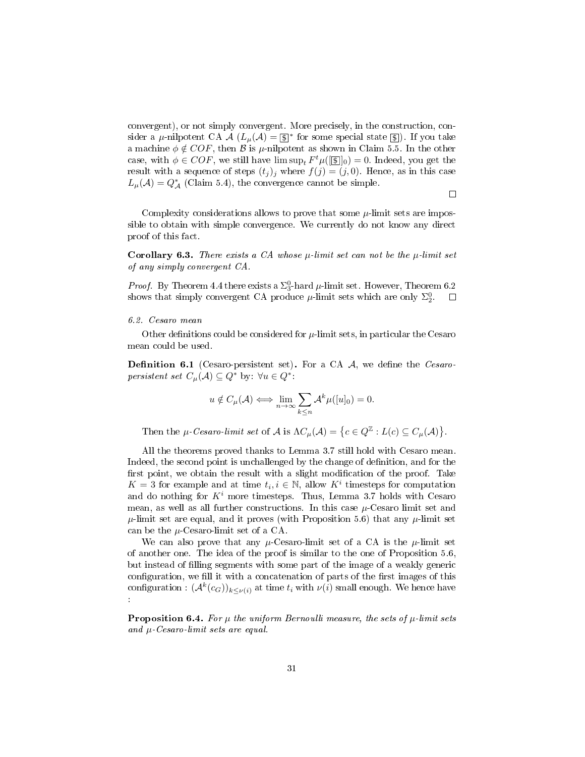convergent), or not simply convergent. More precisely, in the construction, consider a  $\mu$ -nilpotent CA  $\mathcal{A}$  ( $L_{\mu}(\mathcal{A}) = \boxed{\$}^*$  for some special state  $\boxed{\$}$ ). If you take a machine  $\phi \notin COF$ , then B is  $\mu$ -nilpotent as shown in Claim 5.5. In the other case, with  $\phi \in COF$ , we still have  $\limsup_{t} F^{t} \mu([\mathbf{F}])_0 = 0$ . Indeed, you get the result with a sequence of steps  $(t_j)_j$  where  $f(j) = (j, 0)$ . Hence, as in this case  $L_{\mu}(\mathcal{A})=Q^*_{\mathcal{A}}$  (Claim 5.4), the convergence cannot be simple.

 $\Box$ 

Complexity considerations allows to prove that some  $\mu$ -limit sets are impossible to obtain with simple convergence. We currently do not know any direct proof of this fact.

**Corollary 6.3.** There exists a CA whose  $\mu$ -limit set can not be the  $\mu$ -limit set of any simply convergent CA.

*Proof.* By Theorem 4.4 there exists a  $\Sigma_3^0$ -hard  $\mu$ -limit set. However, Theorem 6.2 shows that simply convergent CA produce  $\mu$ -limit sets which are only  $\Sigma^0_2$ .  $\Box$ 

#### 6.2. Cesaro mean

Other definitions could be considered for  $\mu$ -limit sets, in particular the Cesaro mean could be used.

**Definition 6.1** (Cesaro-persistent set). For a CA  $A$ , we define the *Cesaro*persistent set  $C_{\mu}(\mathcal{A}) \subseteq Q^*$  by:  $\forall u \in Q^*$ .

$$
u \notin C_{\mu}(\mathcal{A}) \Longleftrightarrow \lim_{n \to \infty} \sum_{k \leq n} \mathcal{A}^{k} \mu([u]_{0}) = 0.
$$

Then the  $\mu$ -Cesaro-limit set of A is  $\Lambda C_{\mu}(\mathcal{A}) = \{c \in Q^{\mathbb{Z}} : L(c) \subseteq C_{\mu}(\mathcal{A})\}.$ 

All the theorems proved thanks to Lemma 3.7 still hold with Cesaro mean. Indeed, the second point is unchallenged by the change of definition, and for the first point, we obtain the result with a slight modification of the proof. Take  $K = 3$  for example and at time  $t_i, i \in \mathbb{N}$ , allow  $K^i$  timesteps for computation and do nothing for  $K^i$  more timesteps. Thus, Lemma 3.7 holds with Cesaro mean, as well as all further constructions. In this case  $\mu$ -Cesaro limit set and  $\mu$ -limit set are equal, and it proves (with Proposition 5.6) that any  $\mu$ -limit set can be the  $\mu$ -Cesaro-limit set of a CA.

We can also prove that any  $\mu$ -Cesaro-limit set of a CA is the  $\mu$ -limit set of another one. The idea of the proof is similar to the one of Proposition 5.6, but instead of lling segments with some part of the image of a weakly generic configuration, we fill it with a concatenation of parts of the first images of this configuration :  $(\mathcal{A}^k(c_G))_{k \leq \nu(i)}$  at time  $t_i$  with  $\nu(i)$  small enough. We hence have :

**Proposition 6.4.** For  $\mu$  the uniform Bernoulli measure, the sets of  $\mu$ -limit sets and  $\mu$ -Cesaro-limit sets are equal.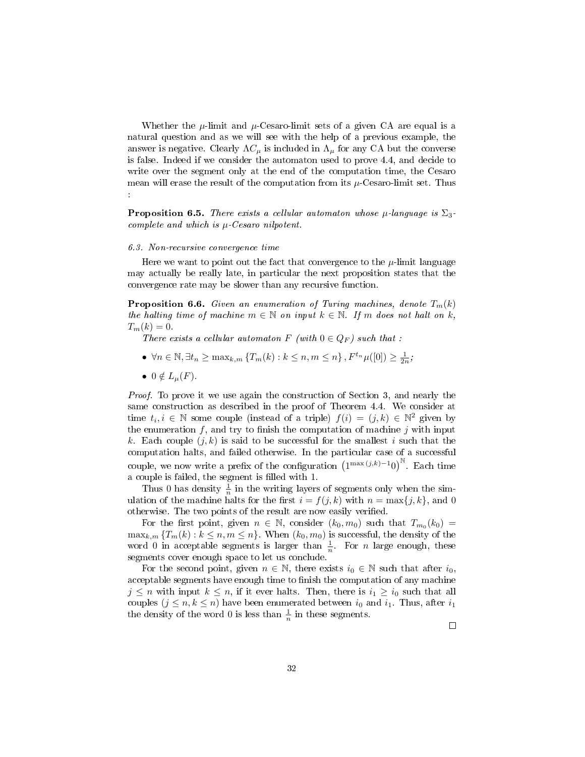Whether the  $\mu$ -limit and  $\mu$ -Cesaro-limit sets of a given CA are equal is a natural question and as we will see with the help of a previous example, the answer is negative. Clearly  $\Lambda C_{\mu}$  is included in  $\Lambda_{\mu}$  for any CA but the converse is false. Indeed if we consider the automaton used to prove 4.4, and decide to write over the segment only at the end of the computation time, the Cesaro mean will erase the result of the computation from its  $\mu$ -Cesaro-limit set. Thus :

**Proposition 6.5.** There exists a cellular automaton whose  $\mu$ -language is  $\Sigma_3$ complete and which is  $\mu$ -Cesaro nilpotent.

#### 6.3. Non-recursive convergence time

Here we want to point out the fact that convergence to the  $\mu$ -limit language may actually be really late, in particular the next proposition states that the convergence rate may be slower than any recursive function.

**Proposition 6.6.** Given an enumeration of Turing machines, denote  $T_m(k)$ the halting time of machine  $m \in \mathbb{N}$  on input  $k \in \mathbb{N}$ . If m does not halt on k,  $T_m(k) = 0.$ 

There exists a cellular automaton F (with  $0 \in Q_F$ ) such that :

- $\forall n \in \mathbb{N}, \exists t_n \ge \max_{k,m} \{T_m(k) : k \le n, m \le n\}, F^{t_n} \mu([0]) \ge \frac{1}{2n};$
- $0 \notin L_u(F)$ .

Proof. To prove it we use again the construction of Section 3, and nearly the same construction as described in the proof of Theorem 4.4. We consider at time  $t_i, i \in \mathbb{N}$  some couple (instead of a triple)  $f(i) = (j, k) \in \mathbb{N}^2$  given by the enumeration  $f$ , and try to finish the computation of machine  $j$  with input k. Each couple  $(j, k)$  is said to be successful for the smallest i such that the computation halts, and failed otherwise. In the particular case of a successful couple, we now write a prefix of the configuration  $(1^{\max(j,k)-1}0)^{\mathbb{N}}$ . Each time a couple is failed, the segment is filled with 1.

Thus 0 has density  $\frac{1}{n}$  in the writing layers of segments only when the simulation of the machine halts for the first  $i = f(j, k)$  with  $n = \max\{j, k\}$ , and 0 otherwise. The two points of the result are now easily verified.

For the first point, given  $n \in \mathbb{N}$ , consider  $(k_0, m_0)$  such that  $T_{m_0}(k_0) =$  $\max_{k,m} \{T_m(k): k \leq n, m \leq n\}$ . When  $(k_0, m_0)$  is successful, the density of the word 0 in acceptable segments is larger than  $\frac{1}{n}$ . For *n* large enough, these segments cover enough space to let us conclude.

For the second point, given  $n \in \mathbb{N}$ , there exists  $i_0 \in \mathbb{N}$  such that after  $i_0$ , acceptable segments have enough time to finish the computation of any machine  $j \leq n$  with input  $k \leq n$ , if it ever halts. Then, there is  $i_1 \geq i_0$  such that all couples  $(j \leq n, k \leq n)$  have been enumerated between  $i_0$  and  $i_1$ . Thus, after  $i_1$ the density of the word 0 is less than  $\frac{1}{n}$  in these segments.

 $\Box$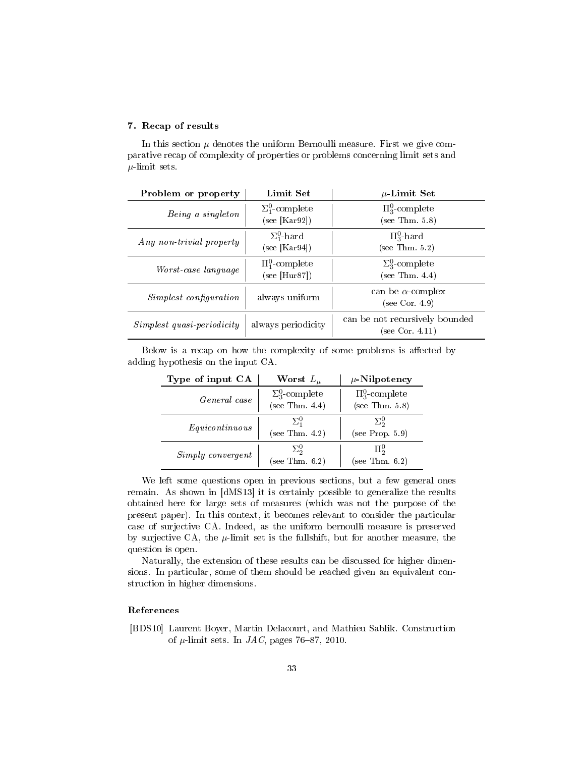## 7. Recap of results

In this section  $\mu$  denotes the uniform Bernoulli measure. First we give comparative recap of complexity of properties or problems concerning limit sets and  $\mu$ -limit sets.

| Problem or property               | Limit Set                              | $\mu$ -Limit Set                                  |
|-----------------------------------|----------------------------------------|---------------------------------------------------|
| Being a singleton                 | $\Sigma_1^0$ -complete<br>see [Kar92]) | $\Pi_3^0$ -complete<br>(see Thm. 5.8)             |
| Any non-trivial property          | $\Sigma_1^0$ -hard<br>(see [Kar94])    | $\Pi_3^0$ -hard<br>(see Thm. 5.2)                 |
| <i>Worst-case language</i>        | $\Pi_1^0$ -complete<br>(see [Hur87])   | $\Sigma_3^0$ -complete<br>(see Thm. 4.4)          |
| <i>Simplest configuration</i>     | always uniform                         | can be $\alpha$ -complex<br>(see Cor. 4.9)        |
| <i>Simplest quasi-periodicity</i> | always periodicity                     | can be not recursively bounded<br>(see Cor. 4.11) |

Below is a recap on how the complexity of some problems is affected by adding hypothesis on the input CA.

| Type of input CA  | Worst $L_{\mu}$                          | $\mu$ -Nilpotency                     |
|-------------------|------------------------------------------|---------------------------------------|
| General case      | $\Sigma_3^0$ -complete<br>(see Thm. 4.4) | $\Pi_3^0$ -complete<br>(see Thm. 5.8) |
| Equicontinuous    | $\Sigma^0$<br>(see Thm. $4.2$ )          | $\Sigma^0_2$<br>(see Prop. 5.9)       |
| Simply convergent | $\Sigma^0_2$<br>(see Thm. $6.2$ )        | $\Pi^0_2$<br>(see Thm. $6.2$ )        |

We left some questions open in previous sections, but a few general ones remain. As shown in [dMS13] it is certainly possible to generalize the results obtained here for large sets of measures (which was not the purpose of the present paper). In this context, it becomes relevant to consider the particular case of surjective CA. Indeed, as the uniform bernoulli measure is preserved by surjective CA, the  $\mu$ -limit set is the fullshift, but for another measure, the question is open.

Naturally, the extension of these results can be discussed for higher dimensions. In particular, some of them should be reached given an equivalent construction in higher dimensions.

## References

[BDS10] Laurent Boyer, Martin Delacourt, and Mathieu Sablik. Construction of  $\mu$ -limit sets. In *JAC*, pages 76–87, 2010.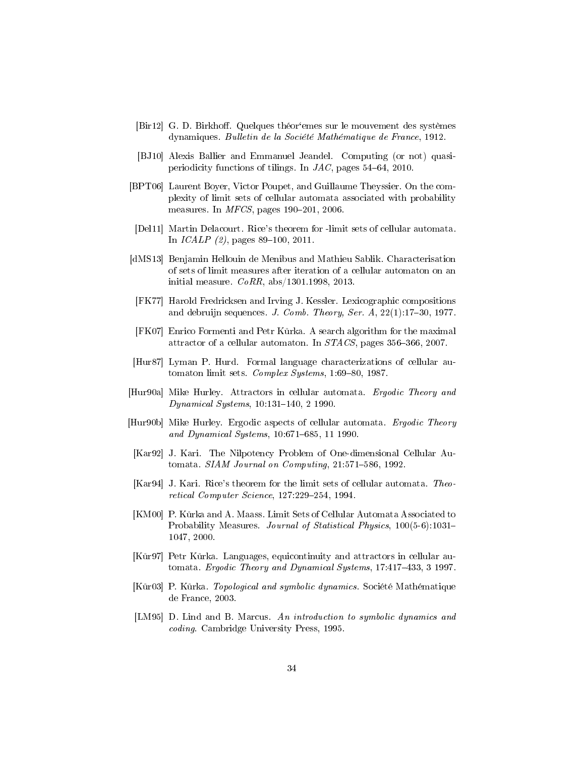- [Bir12] G. D. Birkhoff. Quelques théor'emes sur le mouvement des systèmes dynamiques. Bulletin de la Société Mathématique de France, 1912.
- [BJ10] Alexis Ballier and Emmanuel Jeandel. Computing (or not) quasiperiodicity functions of tilings. In  $JAC$ , pages 54–64, 2010.
- [BPT06] Laurent Boyer, Victor Poupet, and Guillaume Theyssier. On the complexity of limit sets of cellular automata associated with probability measures. In  $MFCS$ , pages 190-201, 2006.
- [Del11] Martin Delacourt. Rice's theorem for -limit sets of cellular automata. In  $ICALP$  (2), pages 89–100, 2011.
- [dMS13] Benjamin Hellouin de Menibus and Mathieu Sablik. Characterisation of sets of limit measures after iteration of a cellular automaton on an initial measure.  $CoRR$ , abs/1301.1998, 2013.
- [FK77] Harold Fredricksen and Irving J. Kessler. Lexicographic compositions and debruijn sequences. J. Comb. Theory, Ser.  $A$ ,  $22(1)$ :17-30, 1977.
- [FK07] Enrico Formenti and Petr Kůrka. A search algorithm for the maximal attractor of a cellular automaton. In  $STACS$ , pages 356–366, 2007.
- [Hur87] Lyman P. Hurd. Formal language characterizations of cellular automaton limit sets.  $Complex\ Systems$ , 1:69-80, 1987.
- [Hur90a] Mike Hurley. Attractors in cellular automata. Ergodic Theory and  $Dynamical Systems, 10:131–140, 2 1990.$
- [Hur90b] Mike Hurley. Ergodic aspects of cellular automata. Ergodic Theory and Dynamical Systems, 10:671–685, 11 1990.
- [Kar92] J. Kari. The Nilpotency Problem of One-dimensional Cellular Automata.  $SIAM$  Journal on Computing,  $21:571-586$ , 1992.
- [Kar94] J. Kari. Rice's theorem for the limit sets of cellular automata. Theo $retical Computer Science, 127:229-254, 1994.$
- [KM00] P. Kůrka and A. Maass. Limit Sets of Cellular Automata Associated to Probability Measures. Journal of Statistical Physics, 100(5-6):1031-1047, 2000.
- [Kůr97] Petr Kůrka. Languages, equicontinuity and attractors in cellular automata. Ergodic Theory and Dynamical Systems, 17:417-433, 3 1997.
- [Kůr03] P. Kůrka. *Topological and symbolic dynamics*. Société Mathématique de France, 2003.
- [LM95] D. Lind and B. Marcus. An introduction to symbolic dynamics and coding. Cambridge University Press, 1995.